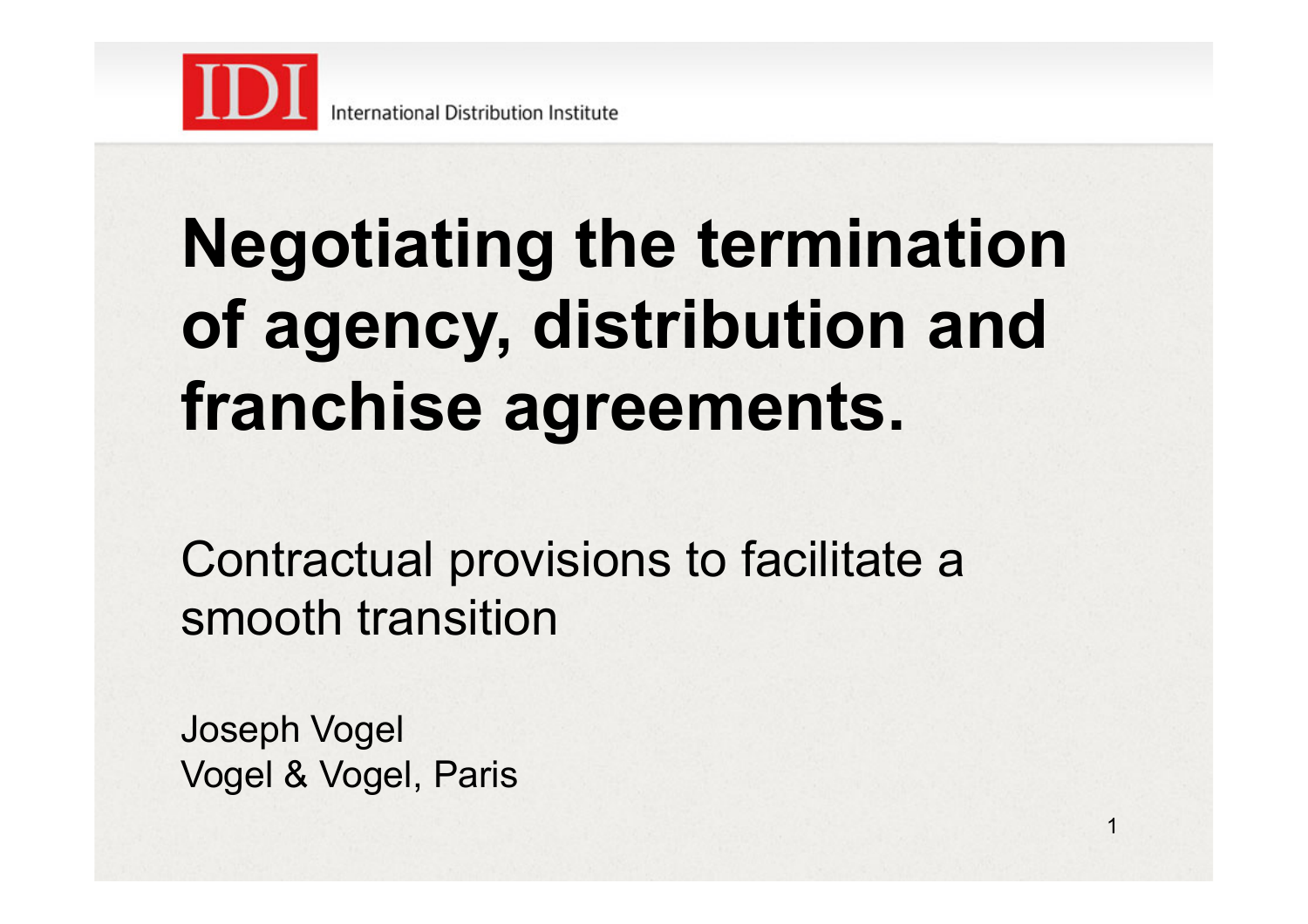

# **Negotiating the termination of agency, distribution and franchise agreements.**

Contractual provisions to facilitate a smooth transition

1

Joseph Vogel Vogel & Vogel, Paris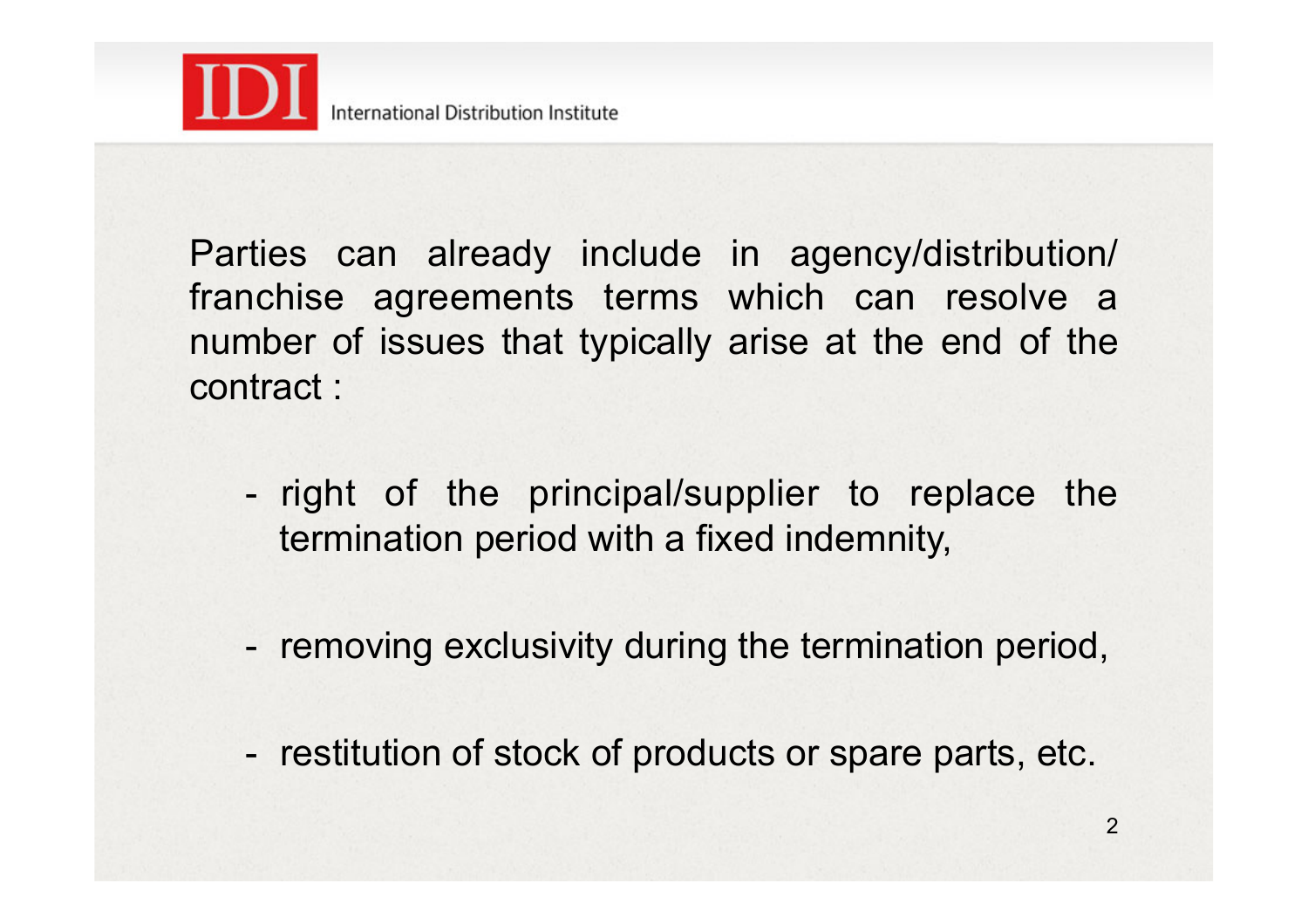

Parties can already include in agency/distribution/ franchise agreements terms which can resolve a number of issues that typically arise at the end of the contract :

- right of the principal/supplier to replace the termination period with a fixed indemnity,
- removing exclusivity during the termination period,
- restitution of stock of products or spare parts, etc.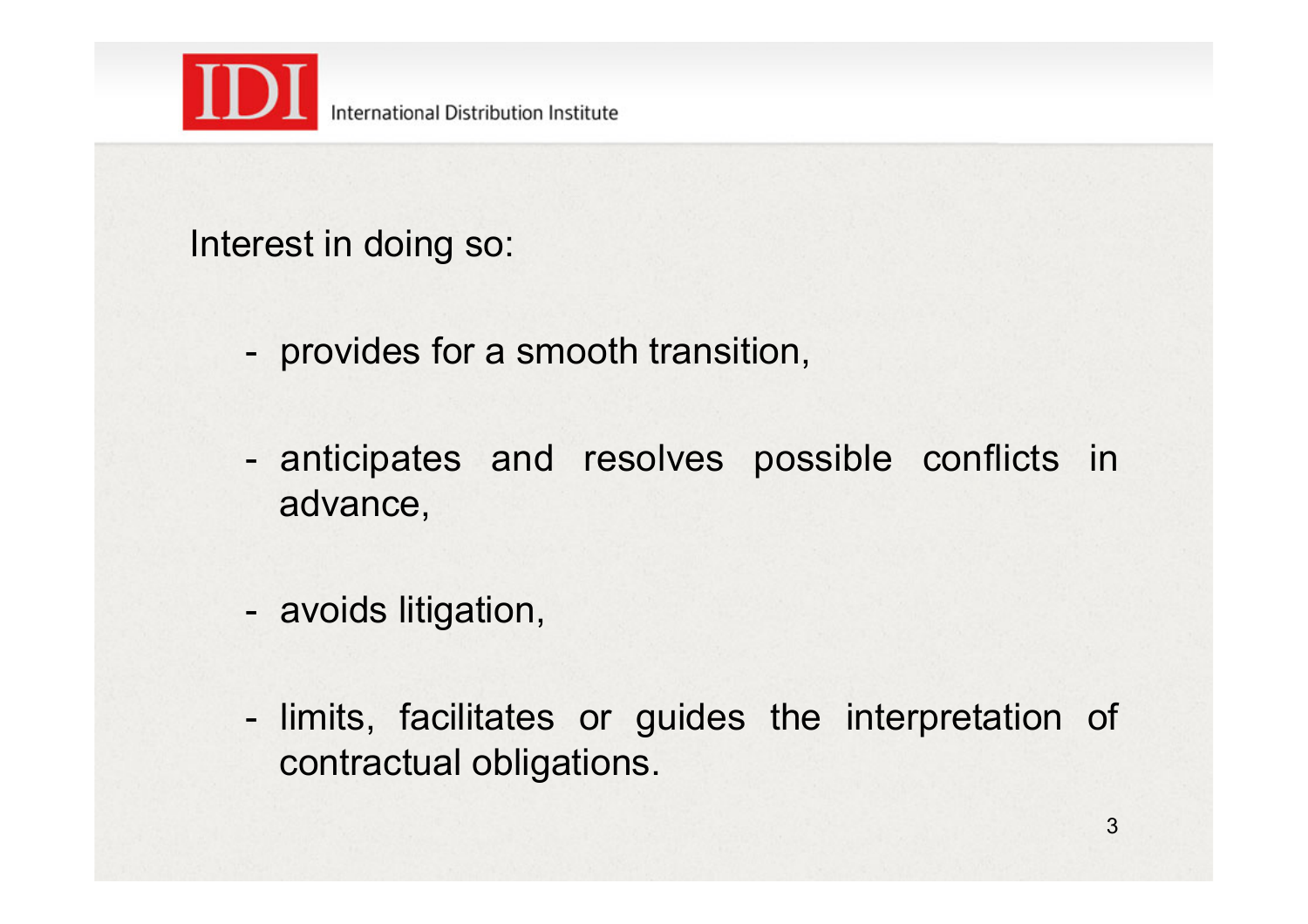

Interest in doing so:

- provides for a smooth transition,
- anticipates and resolves possible conflicts in advance,
- avoids litigation,
- limits, facilitates or guides the interpretation of contractual obligations.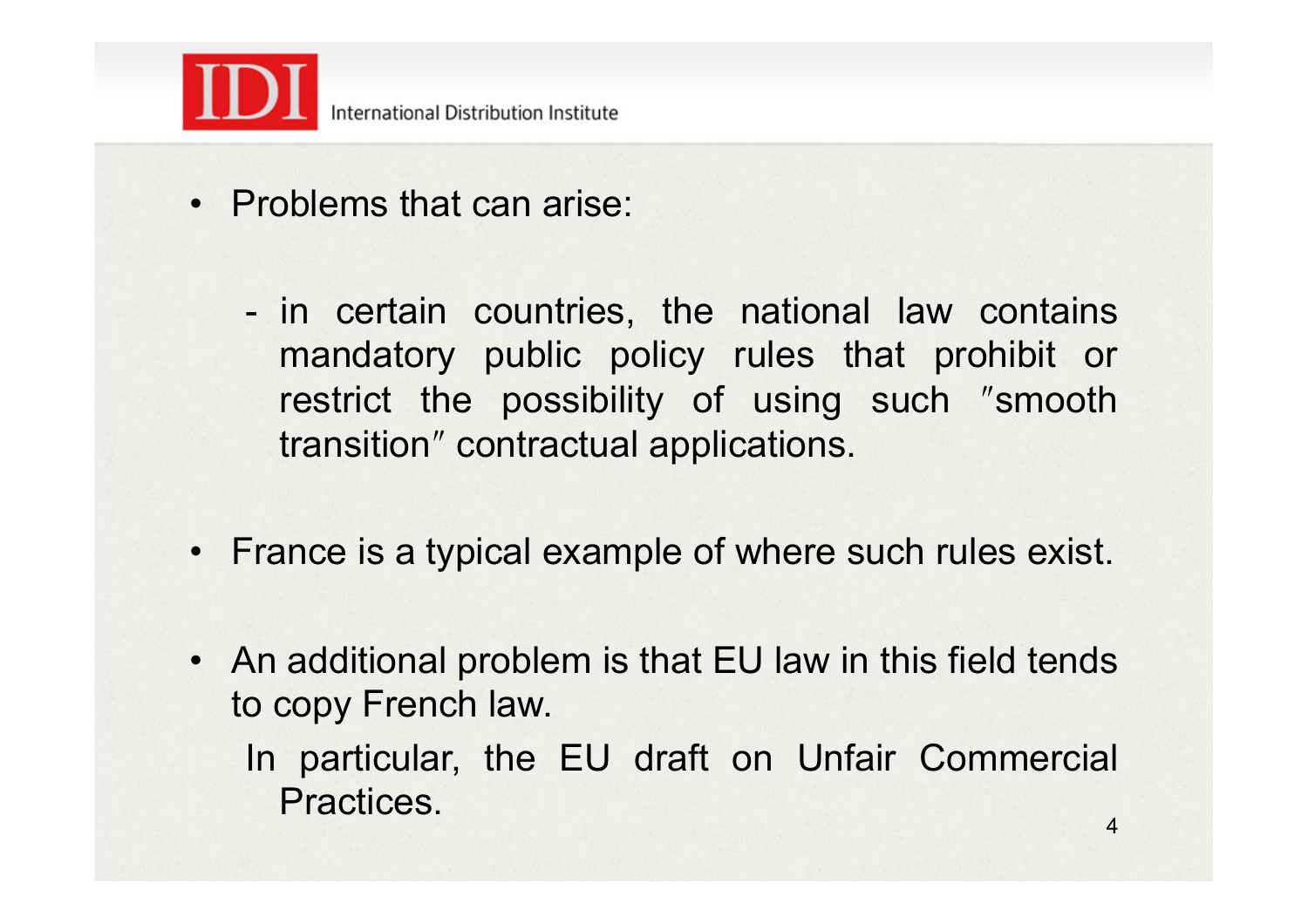

- Problems that can arise:
	- in certain countries, the national law contains mandatory public policy rules that prohibit or restrict the possibility of using such "smooth transitionʺ contractual applications.
- France is a typical example of where such rules exist.
- An additional problem is that EU law in this field tends to copy French law.
	- In particular, the EU draft on Unfair Commercial Practices.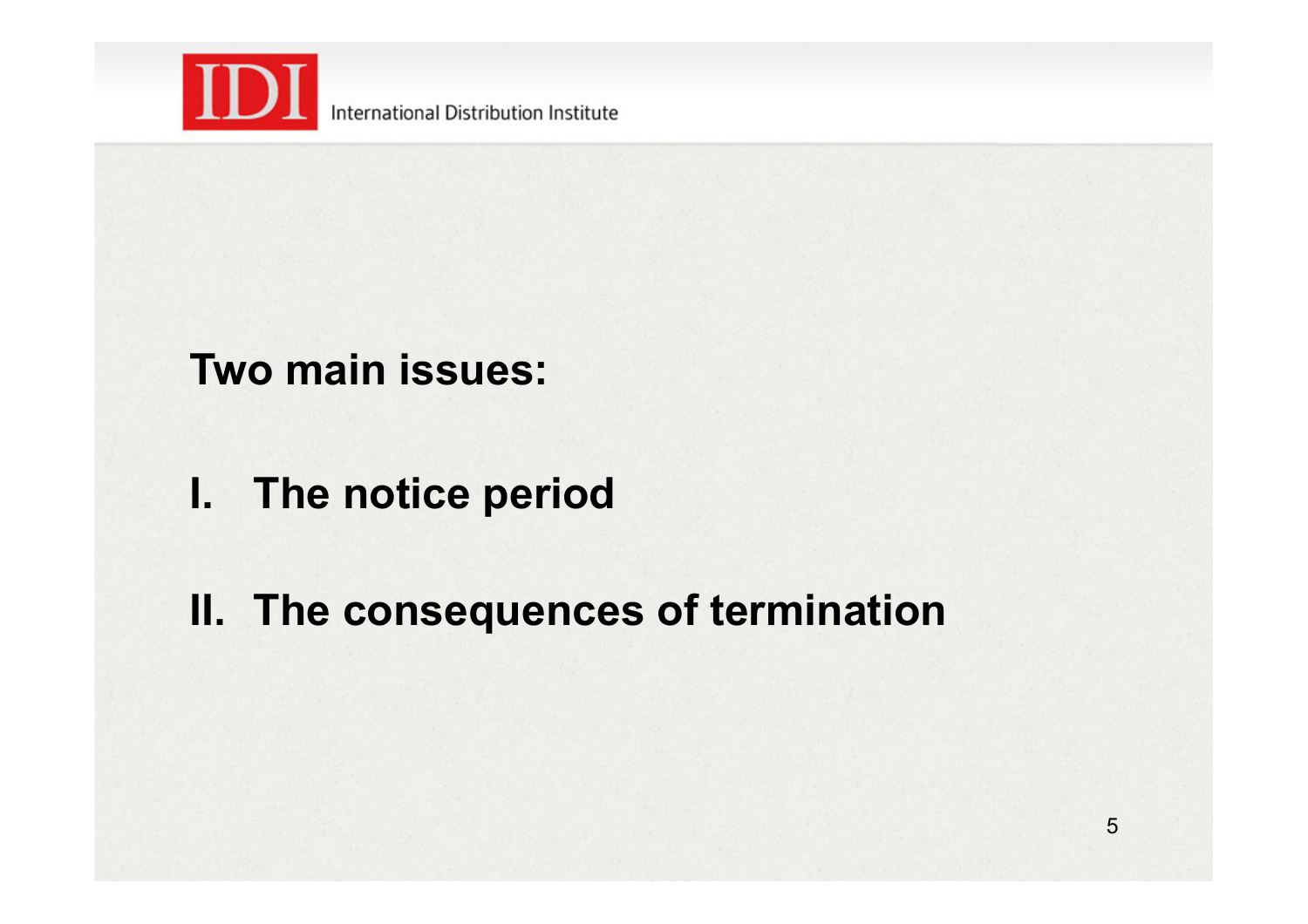

### **Two main issues:**

- **I. The notice period**
- **II. The consequences of termination**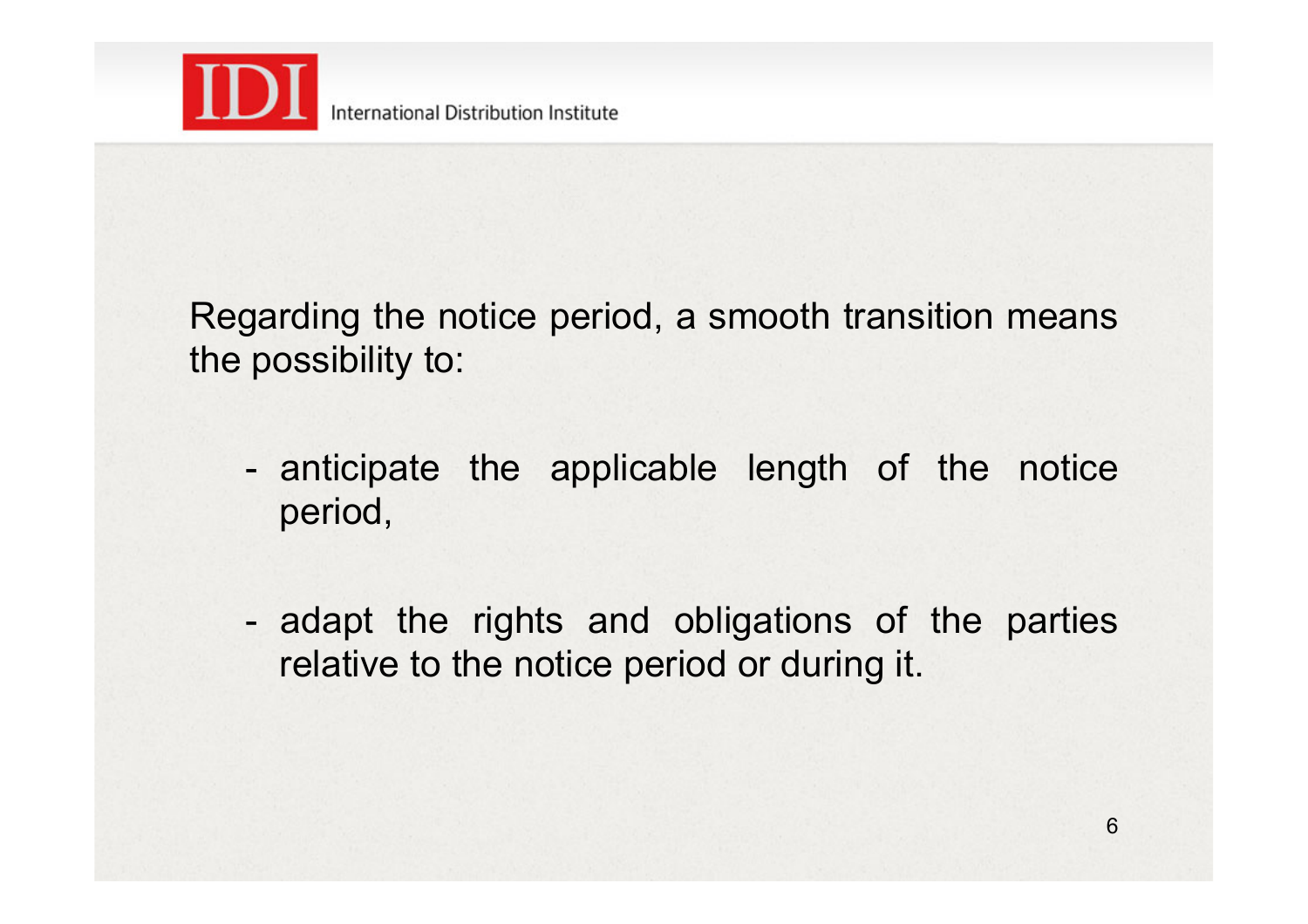

Regarding the notice period, a smooth transition means the possibility to:

- anticipate the applicable length of the notice period,
- adapt the rights and obligations of the parties relative to the notice period or during it.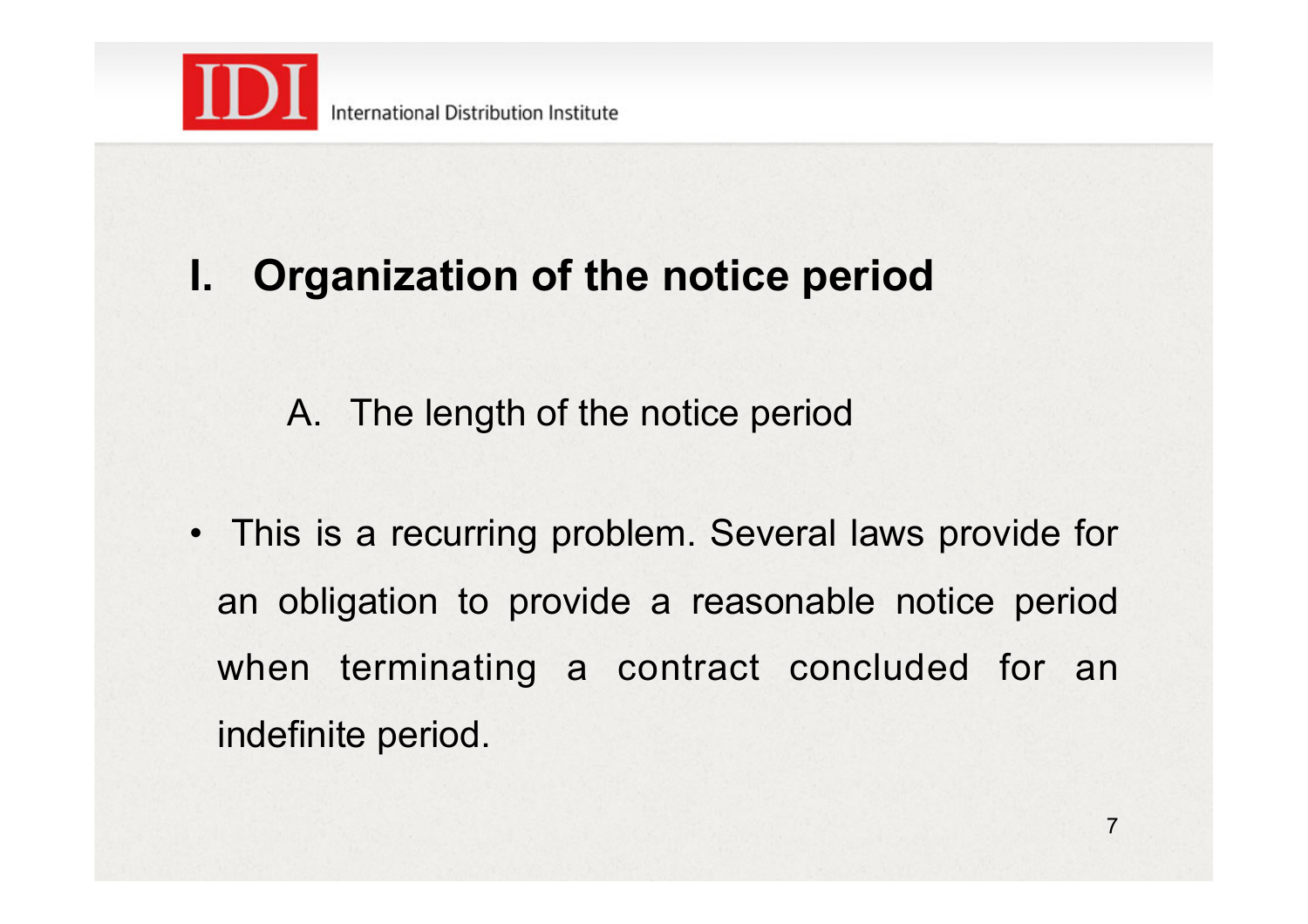

## **I. Organization of the notice period**

A. The length of the notice period

• This is a recurring problem. Several laws provide for an obligation to provide a reasonable notice period when terminating a contract concluded for an indefinite period.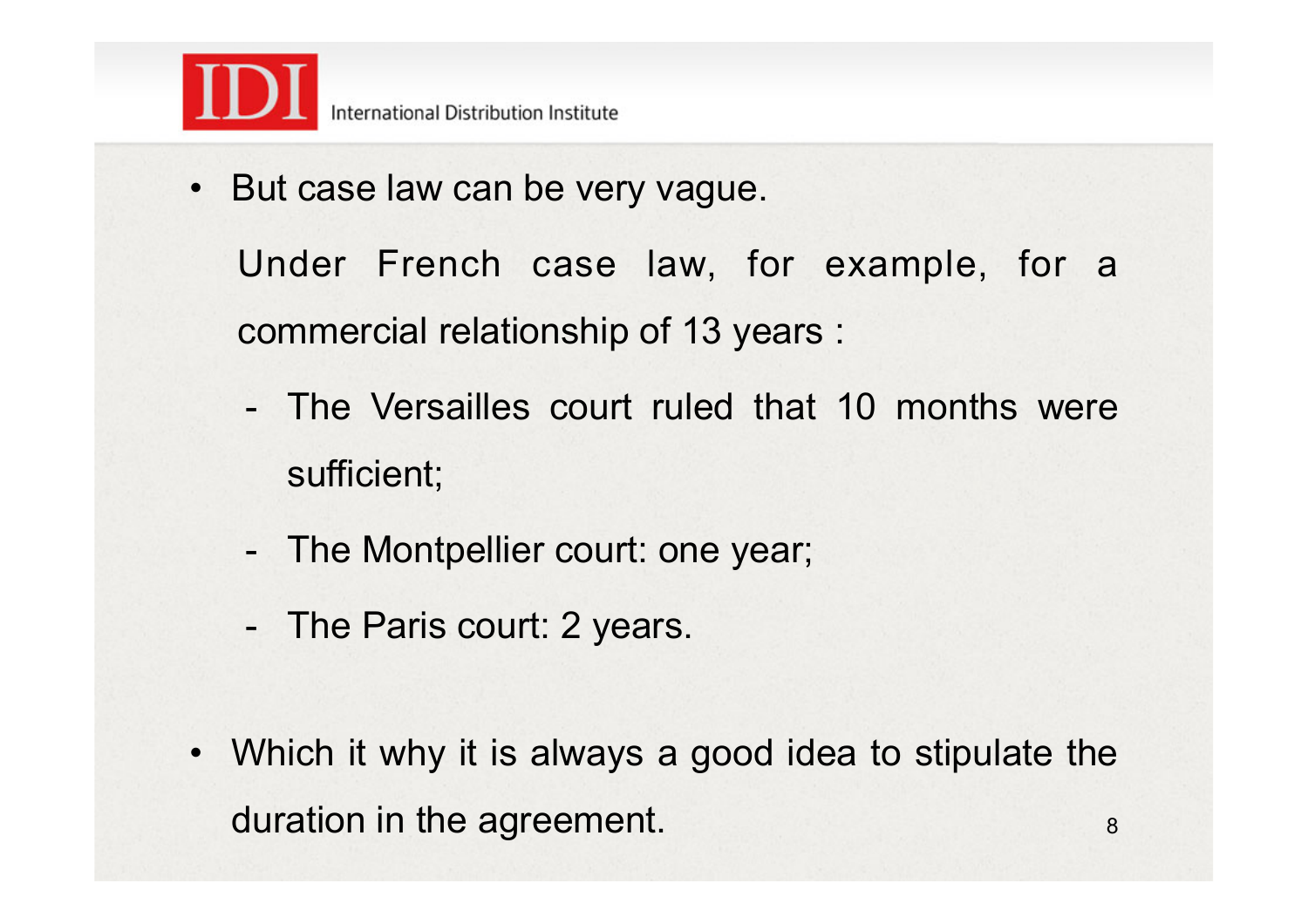

• But case law can be very vague.

Under French case law, for example, for a commercial relationship of 13 years :

- The Versailles court ruled that 10 months were sufficient;
- The Montpellier court: one year;
- The Paris court: 2 years.
- Which it why it is always a good idea to stipulate the duration in the agreement.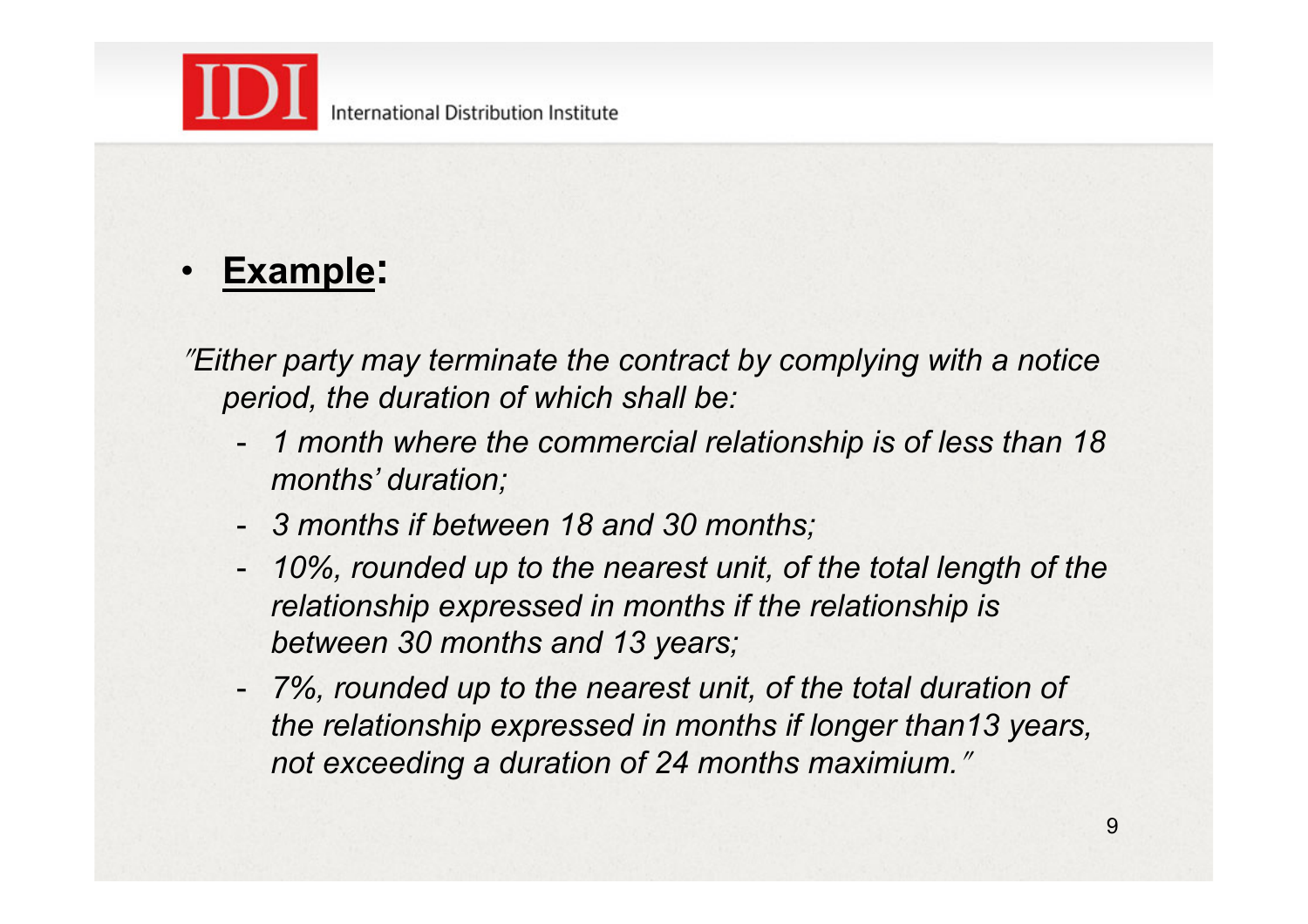

### • **Example:**

<sup>ʺ</sup>*Either party may terminate the contract by complying with a notice period, the duration of which shall be:*

- *1 month where the commercial relationship is of less than 18 months' duration;*
- *3 months if between 18 and 30 months;*
- 10%, rounded up to the nearest unit, of the total length of the *relationship expressed in months if the relationship is between 30 months and 13 years;*
- *7%, rounded up to the nearest unit, of the total duration of the relationship expressed in months if longer than13 years,*  not exceeding a duration of 24 months maximium."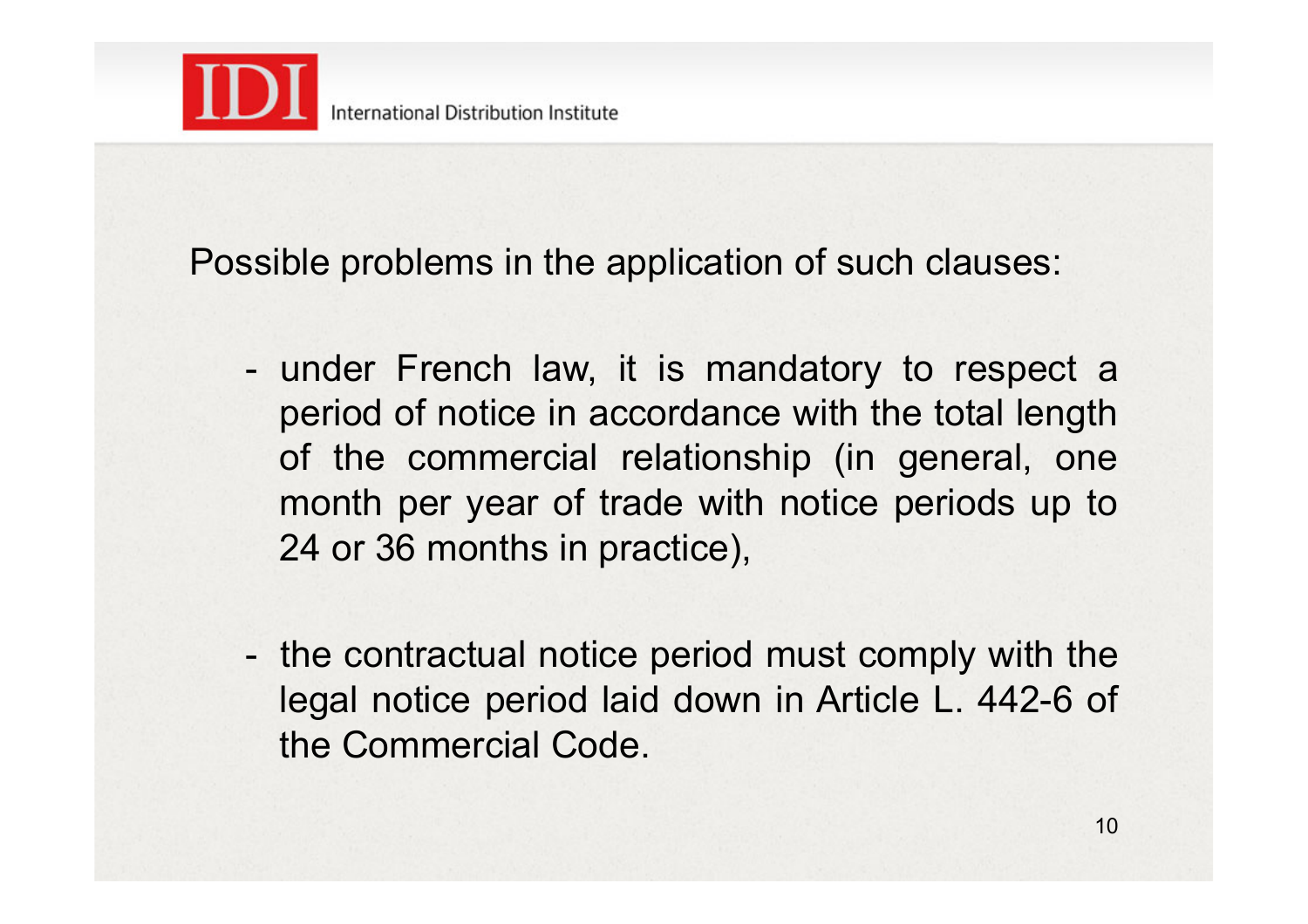

Possible problems in the application of such clauses:

- under French law, it is mandatory to respect a period of notice in accordance with the total length of the commercial relationship (in general, one month per year of trade with notice periods up to 24 or 36 months in practice),
- the contractual notice period must comply with the legal notice period laid down in Article L. 442-6 of the Commercial Code.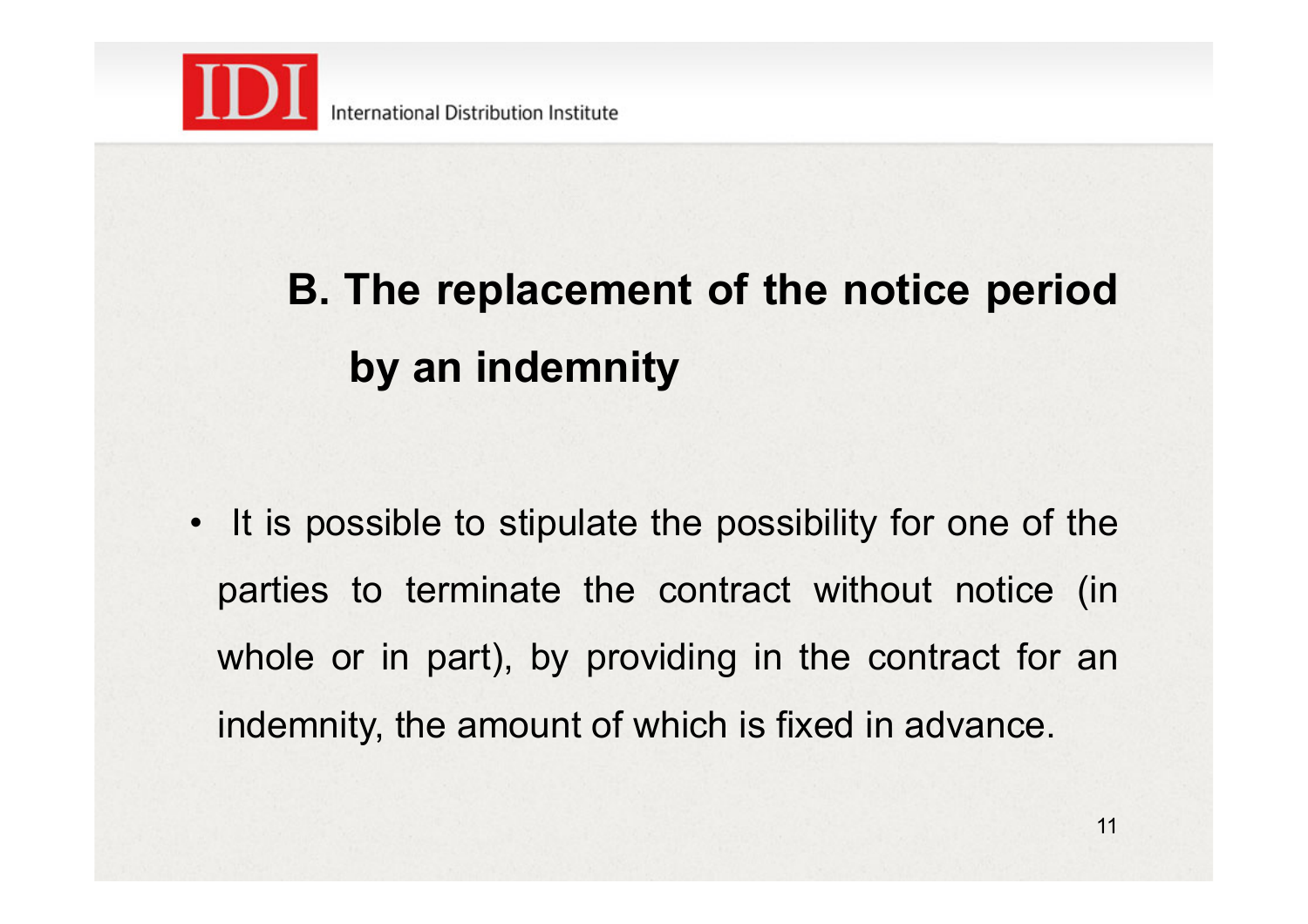

# **B. The replacement of the notice period by an indemnity**

• It is possible to stipulate the possibility for one of the parties to terminate the contract without notice (in whole or in part), by providing in the contract for an indemnity, the amount of which is fixed in advance.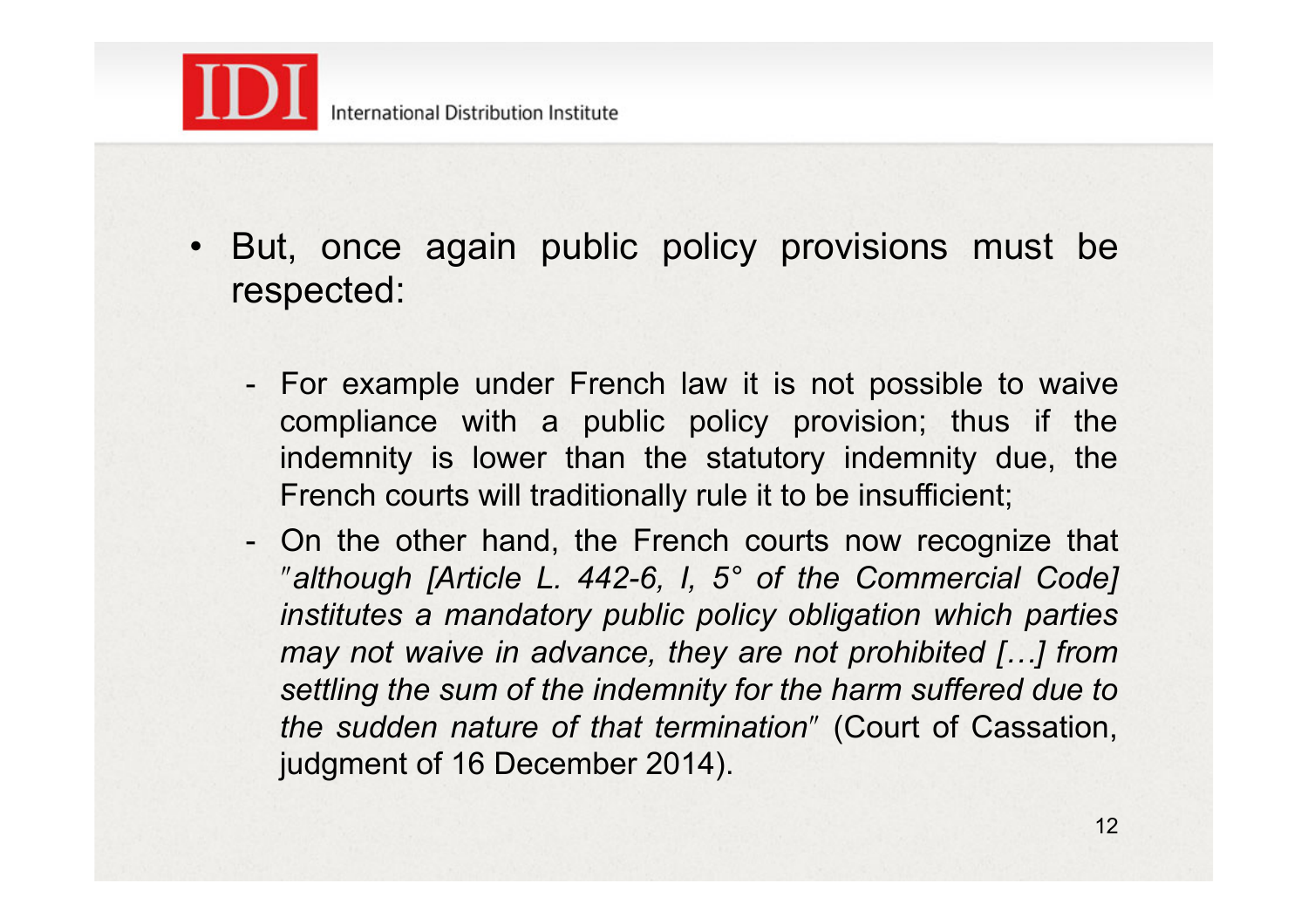

- But, once again public policy provisions must be respected:
	- For example under French law it is not possible to waive compliance with a public policy provision; thus if the indemnity is lower than the statutory indemnity due, the French courts will traditionally rule it to be insufficient;
	- On the other hand, the French courts now recognize that ʺ*although [Article L. 442-6, I, 5° of the Commercial Code] institutes a mandatory public policy obligation which parties may not waive in advance, they are not prohibited […] from settling the sum of the indemnity for the harm suffered due to the sudden nature of that termination"* (Court of Cassation, judgment of 16 December 2014).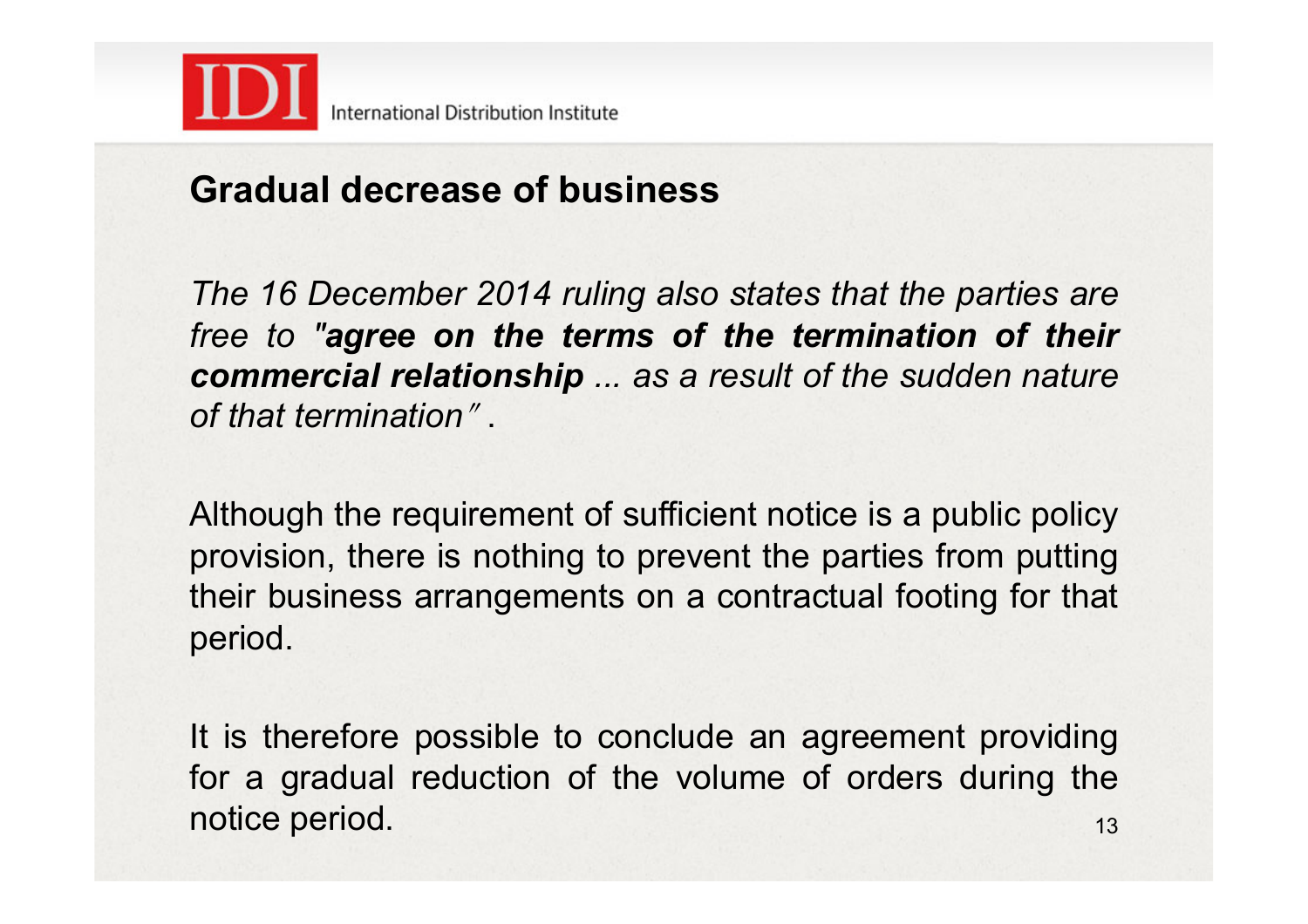

#### **Gradual decrease of business**

*The 16 December 2014 ruling also states that the parties are free to "agree on the terms of the termination of their commercial relationship ... as a result of the sudden nature of that termination*<sup>ʺ</sup> .

Although the requirement of sufficient notice is a public policy provision, there is nothing to prevent the parties from putting their business arrangements on a contractual footing for that period.

It is therefore possible to conclude an agreement providing for a gradual reduction of the volume of orders during the notice period. 13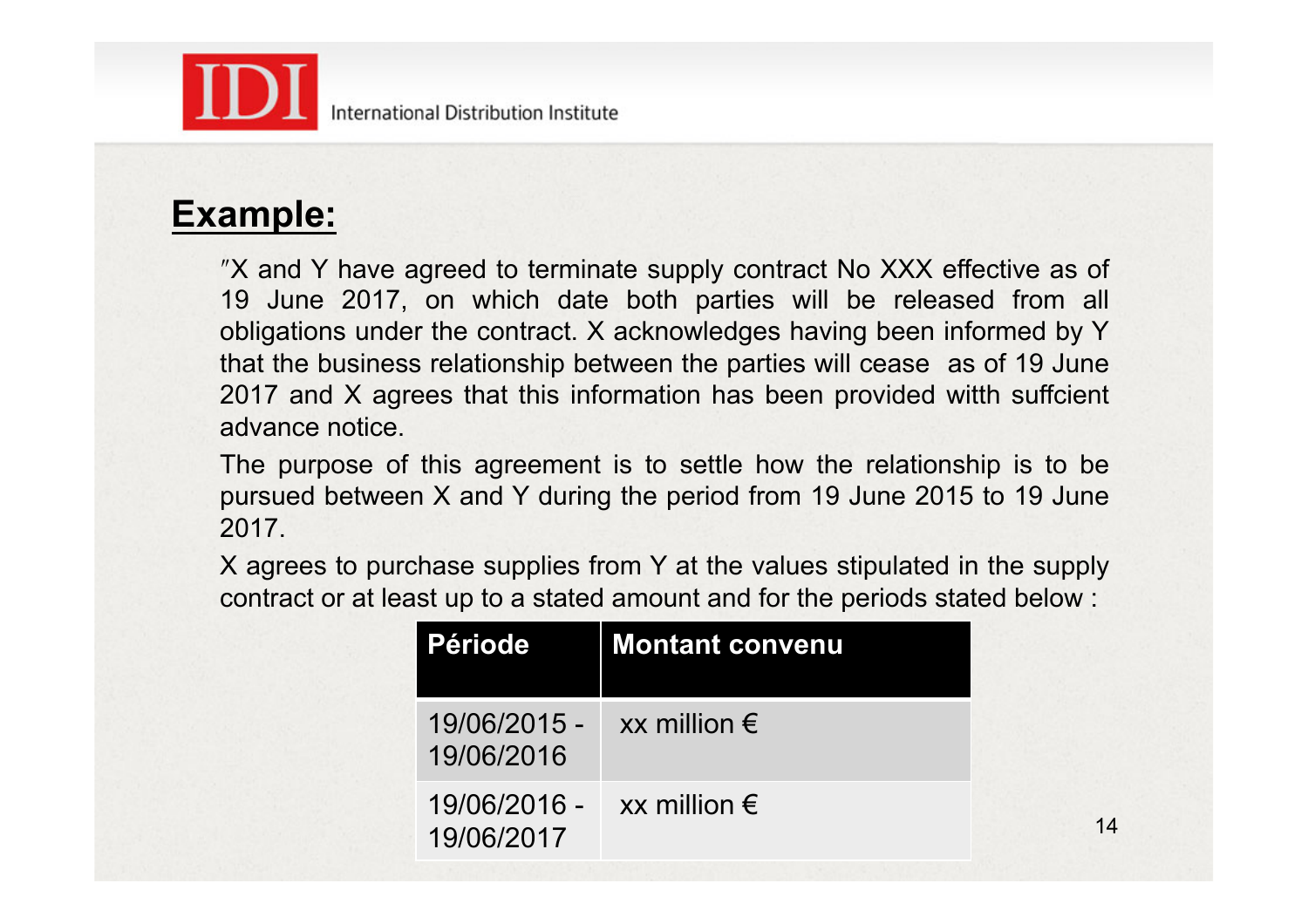

#### **Example:**

ʺX and Y have agreed to terminate supply contract No XXX effective as of 19 June 2017, on which date both parties will be released from all obligations under the contract. X acknowledges having been informed by Y that the business relationship between the parties will cease as of 19 June 2017 and X agrees that this information has been provided witth suffcient advance notice.

The purpose of this agreement is to settle how the relationship is to be pursued between X and Y during the period from 19 June 2015 to 19 June 2017.

X agrees to purchase supplies from Y at the values stipulated in the supply contract or at least up to a stated amount and for the periods stated below :

| <b>Période</b>             | <b>Montant convenu</b>     |
|----------------------------|----------------------------|
| 19/06/2015 -<br>19/06/2016 | $xx$ million $\varepsilon$ |
| 19/06/2016 -<br>19/06/2017 | $xx$ million $\varepsilon$ |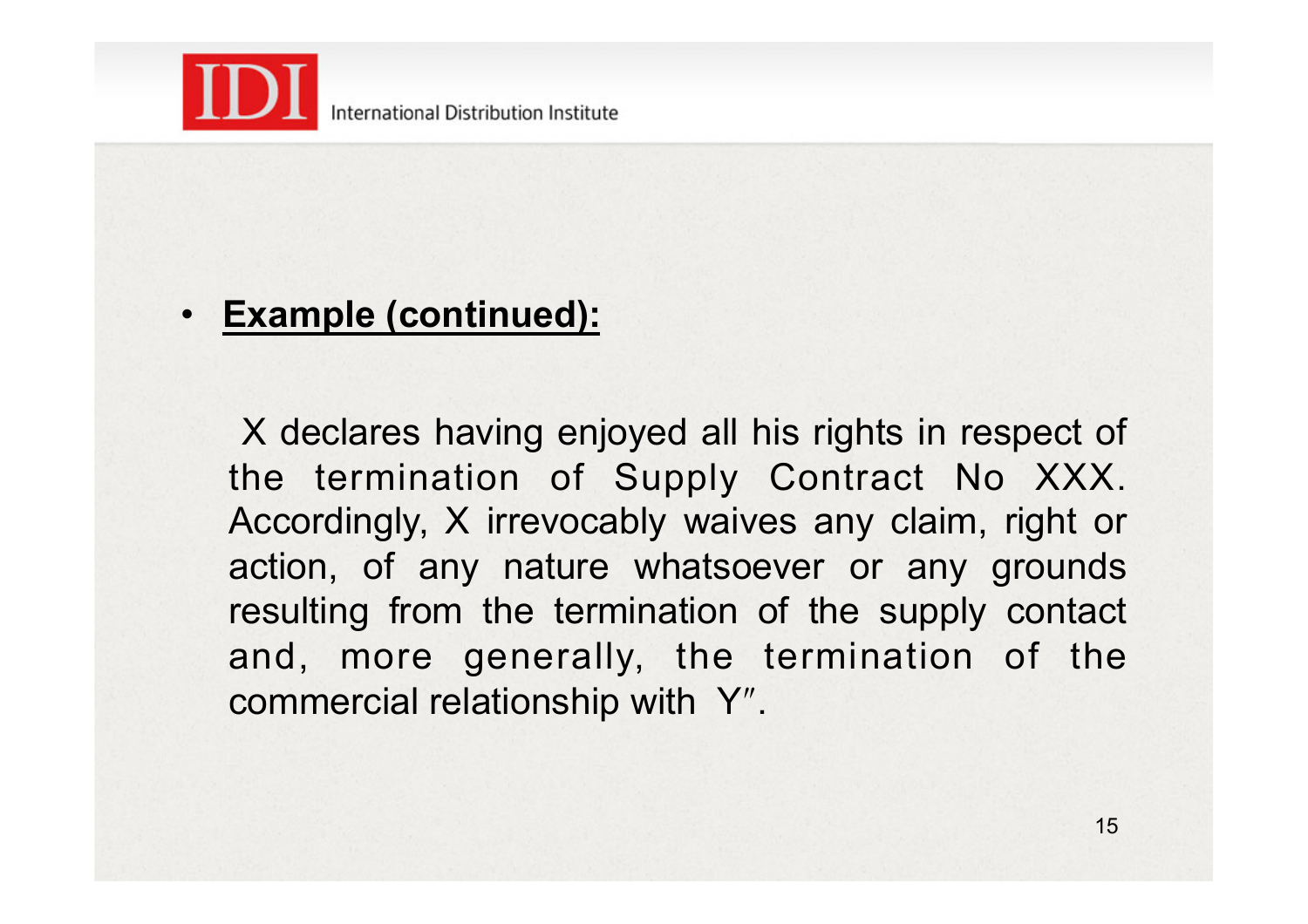

#### • **Example (continued):**

 X declares having enjoyed all his rights in respect of the termination of Supply Contract No XXX. Accordingly, X irrevocably waives any claim, right or action, of any nature whatsoever or any grounds resulting from the termination of the supply contact and, more generally, the termination of the commercial relationship with Y".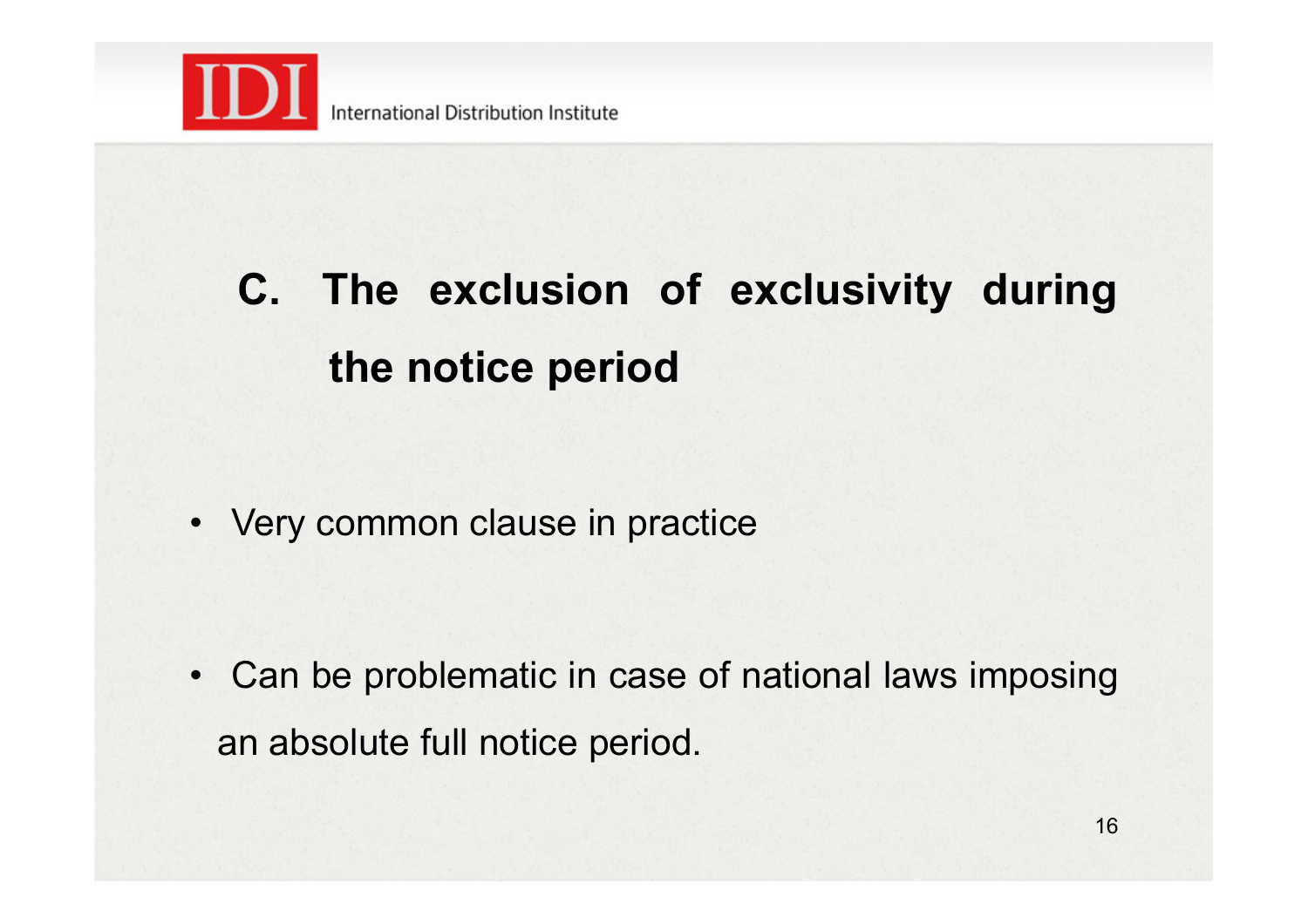

# **C. The exclusion of exclusivity during the notice period**

• Very common clause in practice

• Can be problematic in case of national laws imposing an absolute full notice period.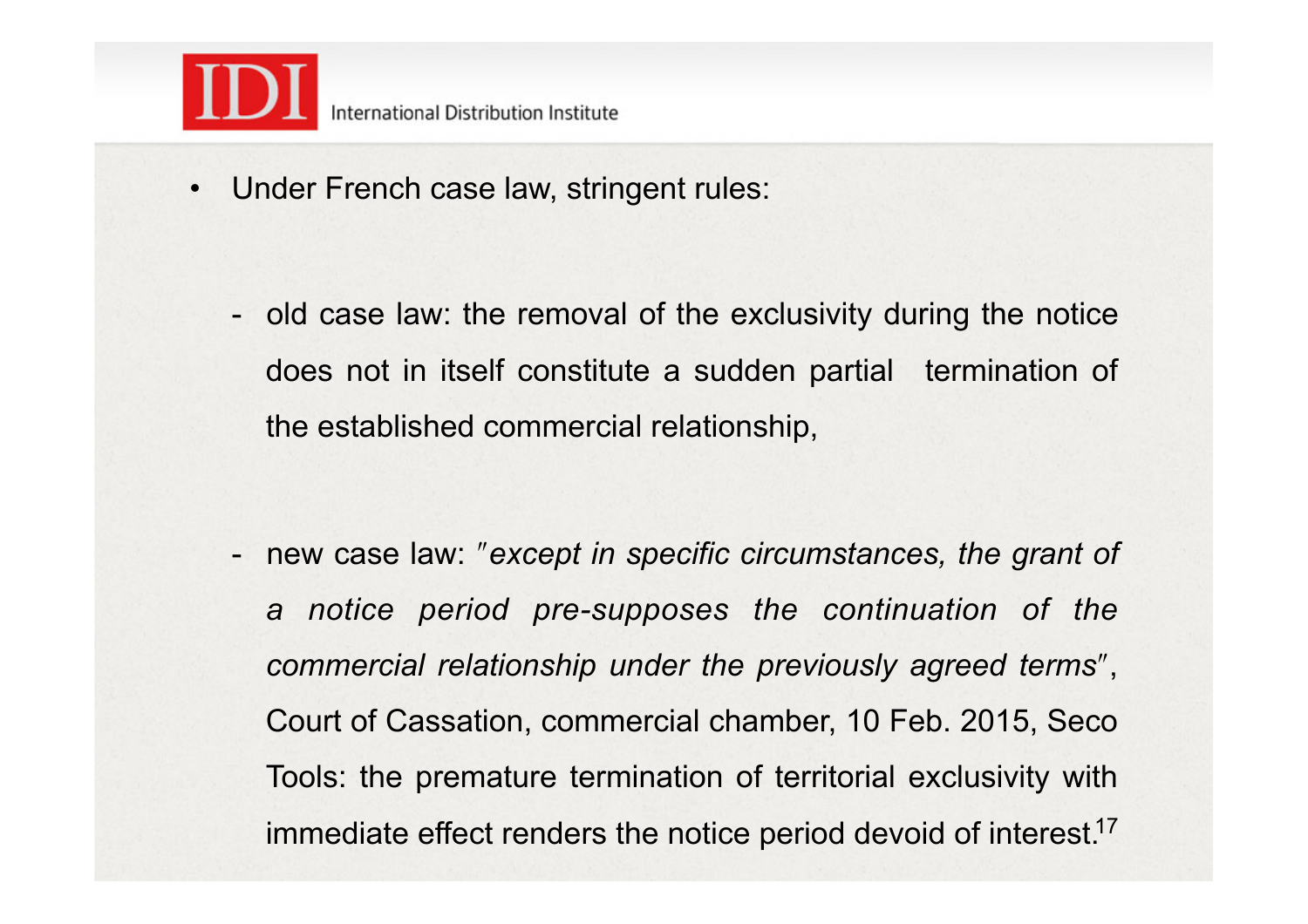

- Under French case law, stringent rules:
	- old case law: the removal of the exclusivity during the notice does not in itself constitute a sudden partial termination of the established commercial relationship,

- new case law: "*except in specific circumstances, the grant of a notice period pre-supposes the continuation of the*  commercial relationship under the previously agreed terms", Court of Cassation, commercial chamber, 10 Feb. 2015, Seco Tools: the premature termination of territorial exclusivity with immediate effect renders the notice period devoid of interest.<sup>17</sup>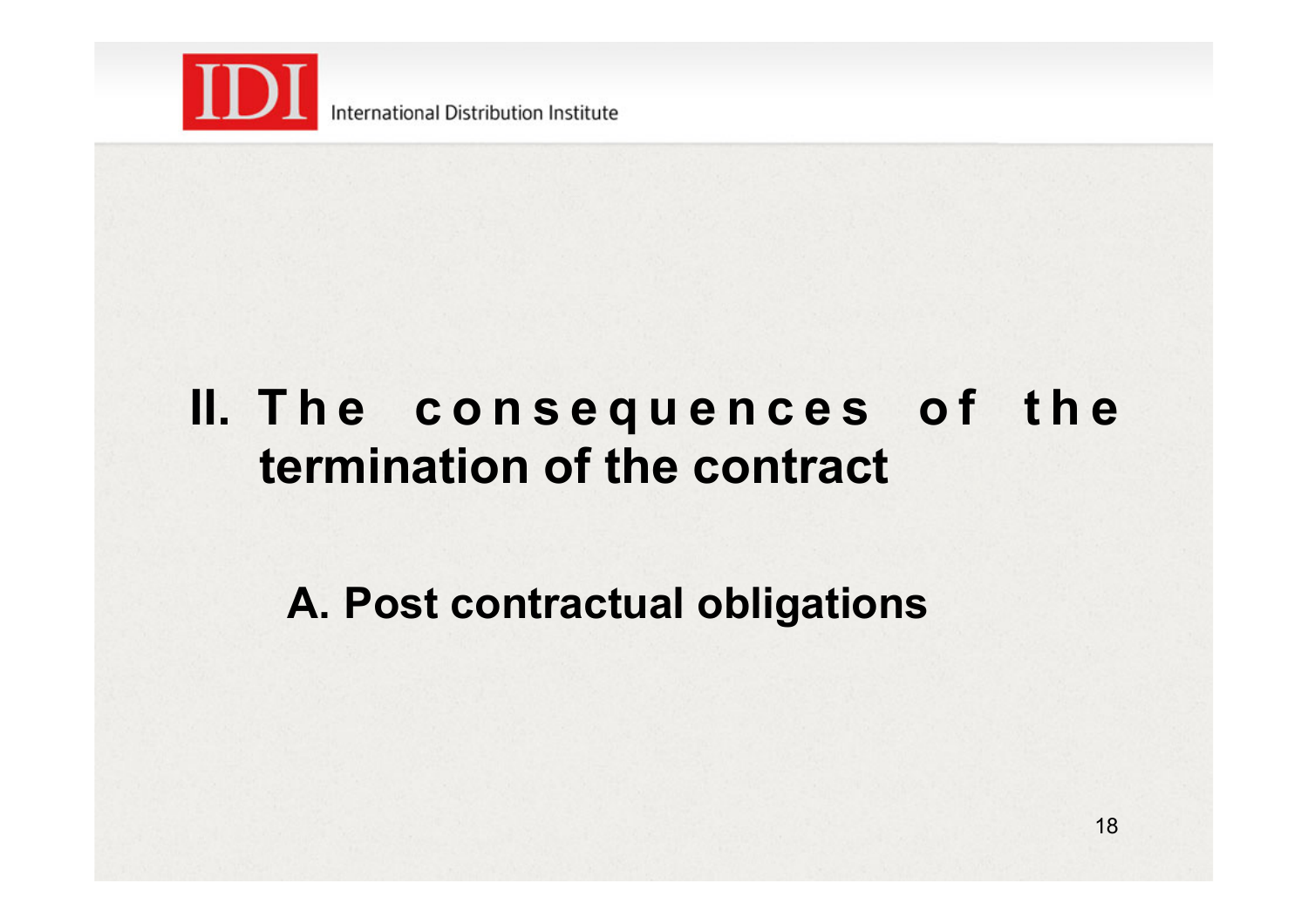

## **II. T h e c o n s e q u e n c e s o f t h e termination of the contract**

**A. Post contractual obligations**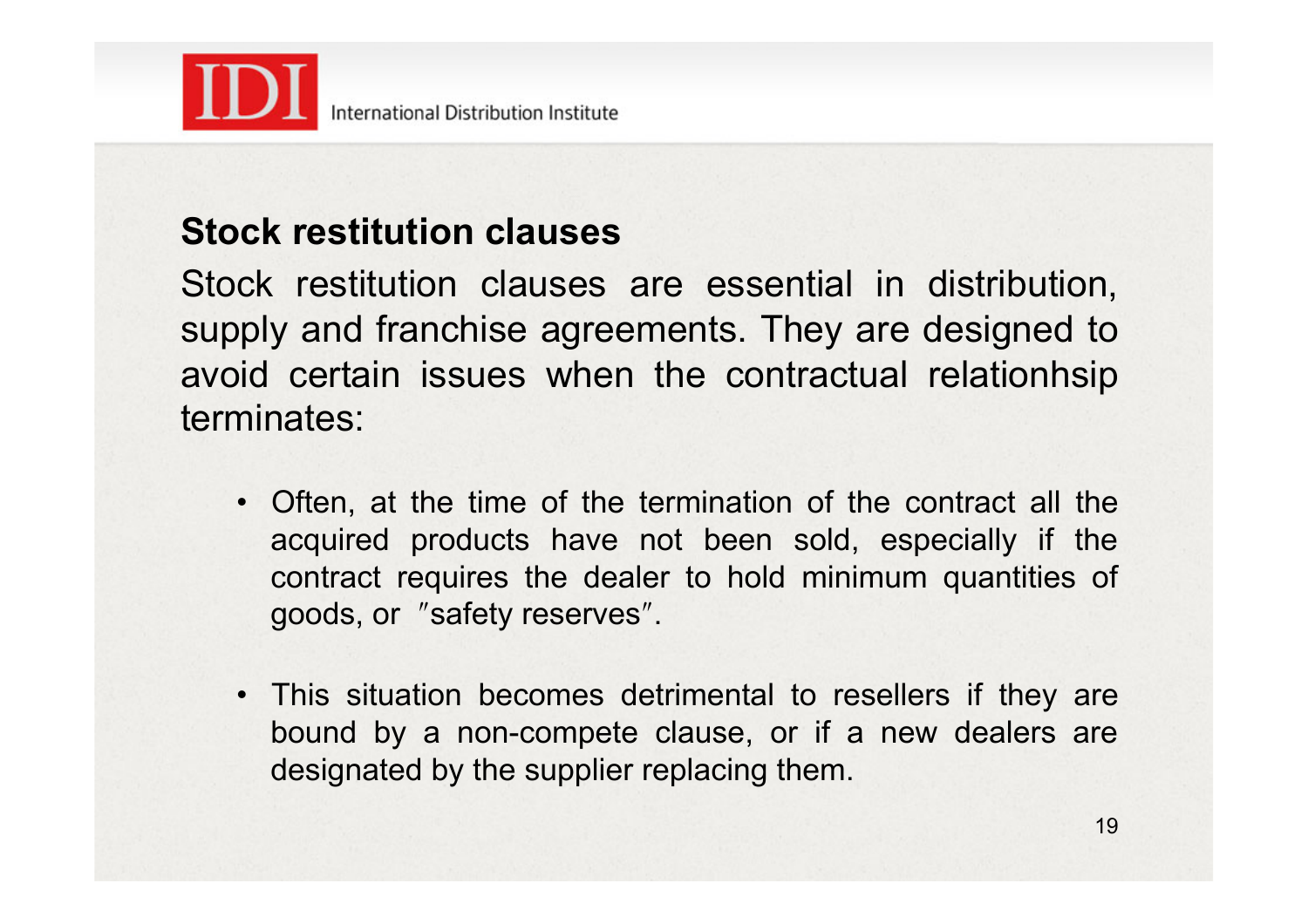

### **Stock restitution clauses**

Stock restitution clauses are essential in distribution, supply and franchise agreements. They are designed to avoid certain issues when the contractual relationhsip terminates:

- Often, at the time of the termination of the contract all the acquired products have not been sold, especially if the contract requires the dealer to hold minimum quantities of goods, or "safety reserves".
- This situation becomes detrimental to resellers if they are bound by a non-compete clause, or if a new dealers are designated by the supplier replacing them.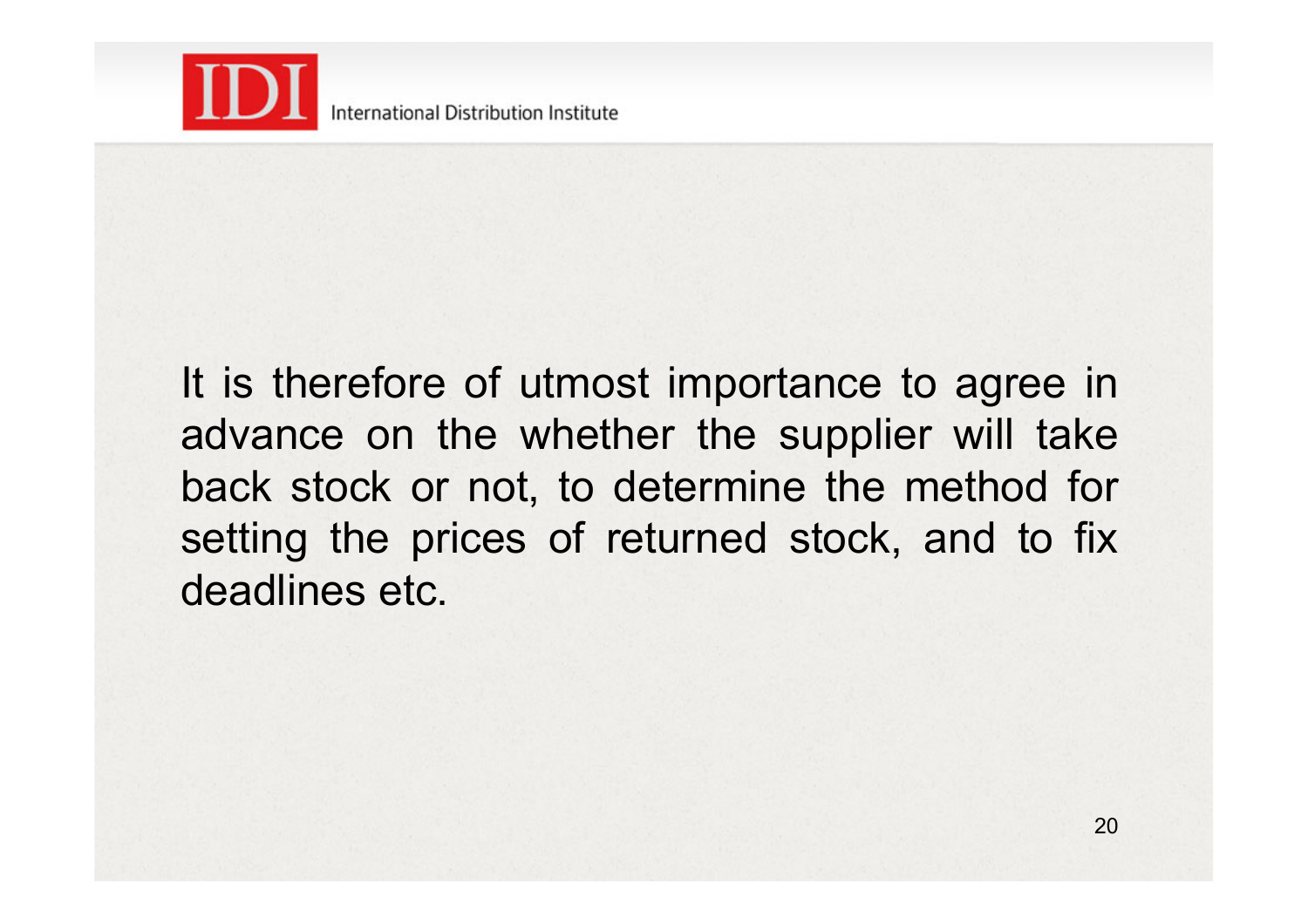

It is therefore of utmost importance to agree in advance on the whether the supplier will take back stock or not, to determine the method for setting the prices of returned stock, and to fix deadlines etc.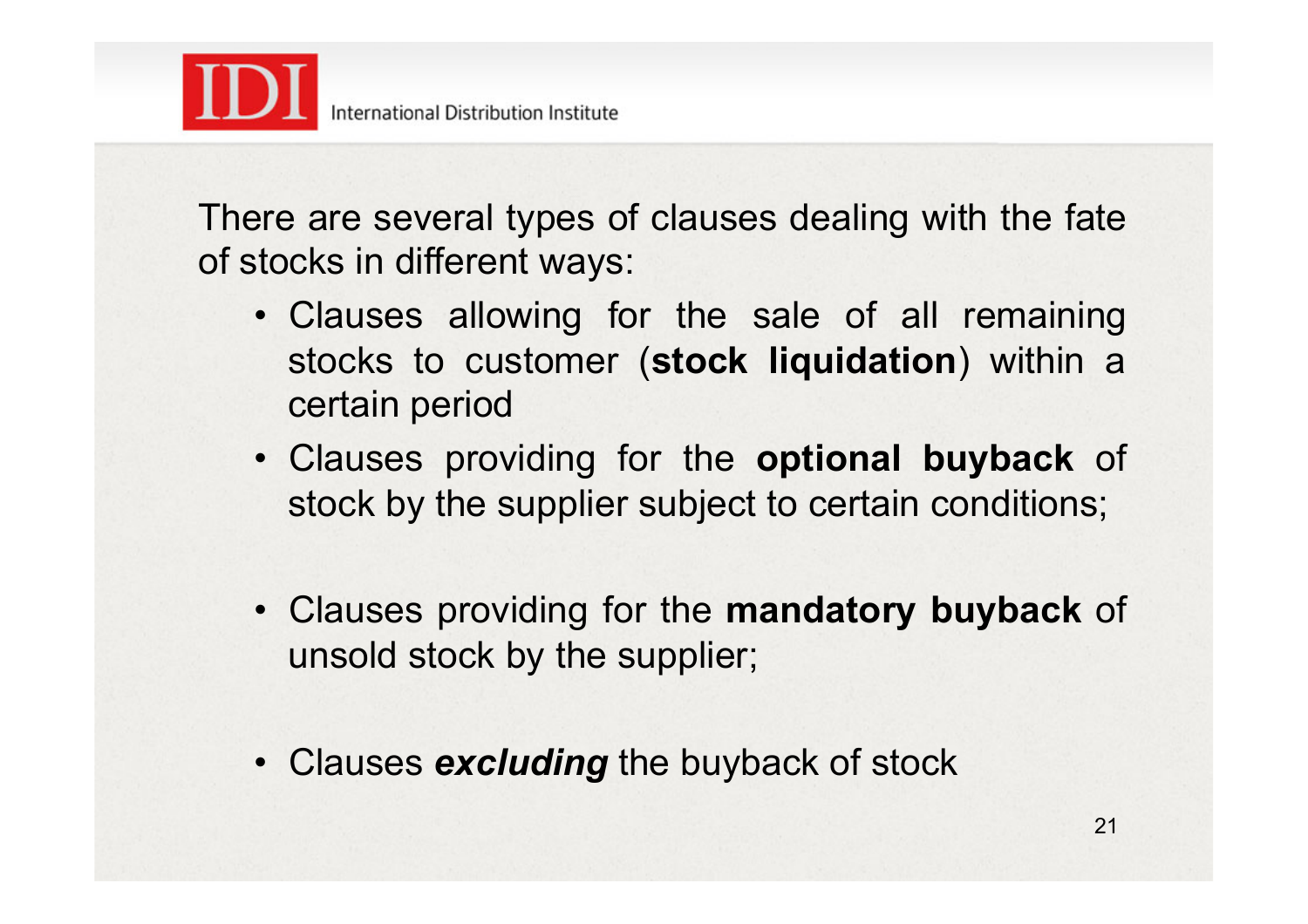

There are several types of clauses dealing with the fate of stocks in different ways:

- Clauses allowing for the sale of all remaining stocks to customer (**stock liquidation**) within a certain period
- Clauses providing for the **optional buyback** of stock by the supplier subject to certain conditions;
- Clauses providing for the **mandatory buyback** of unsold stock by the supplier;
- Clauses *excluding* the buyback of stock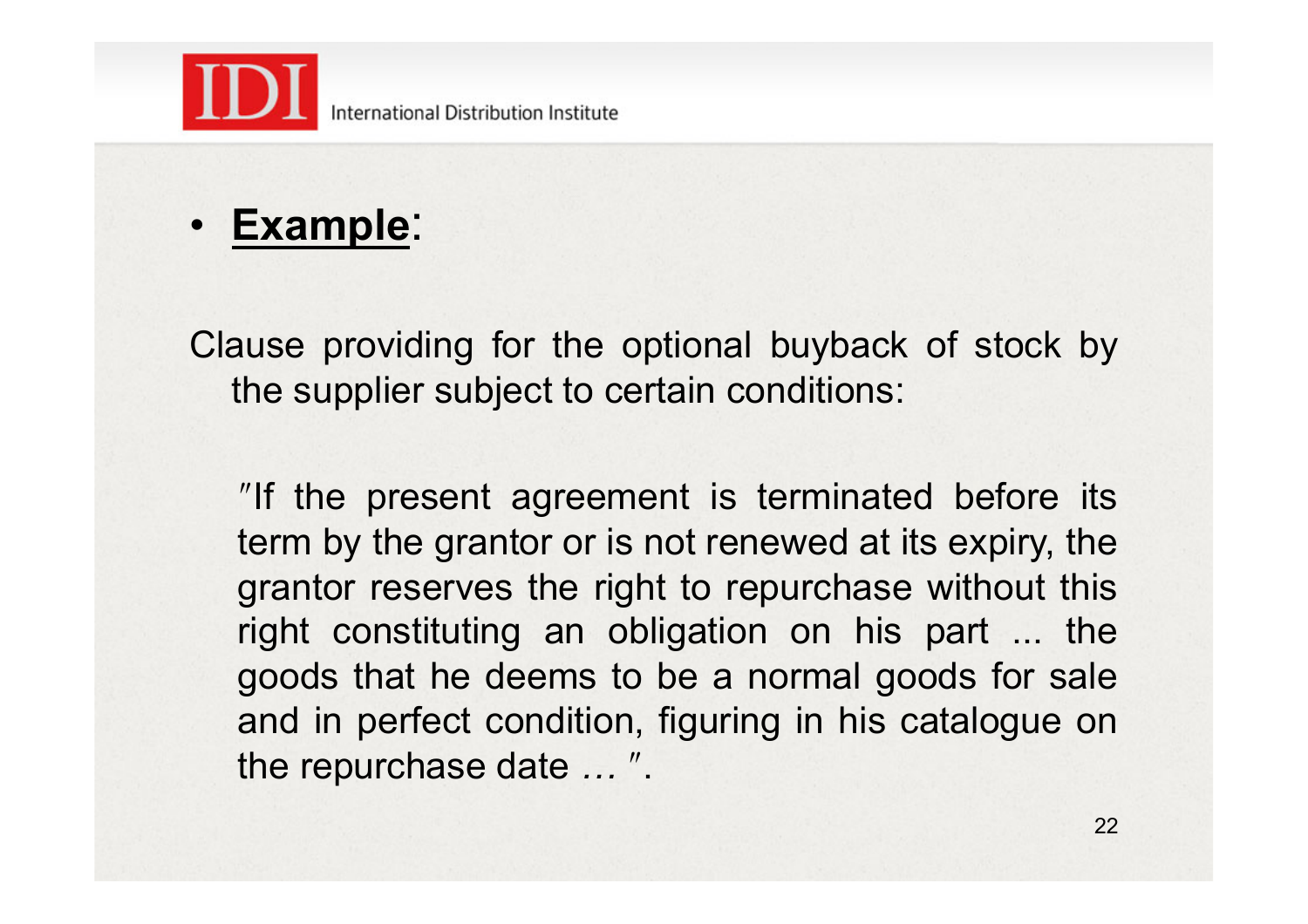

• **Example**:

Clause providing for the optional buyback of stock by the supplier subject to certain conditions:

"If the present agreement is terminated before its term by the grantor or is not renewed at its expiry, the grantor reserves the right to repurchase without this right constituting an obligation on his part ... the goods that he deems to be a normal goods for sale and in perfect condition, figuring in his catalogue on the repurchase date ...".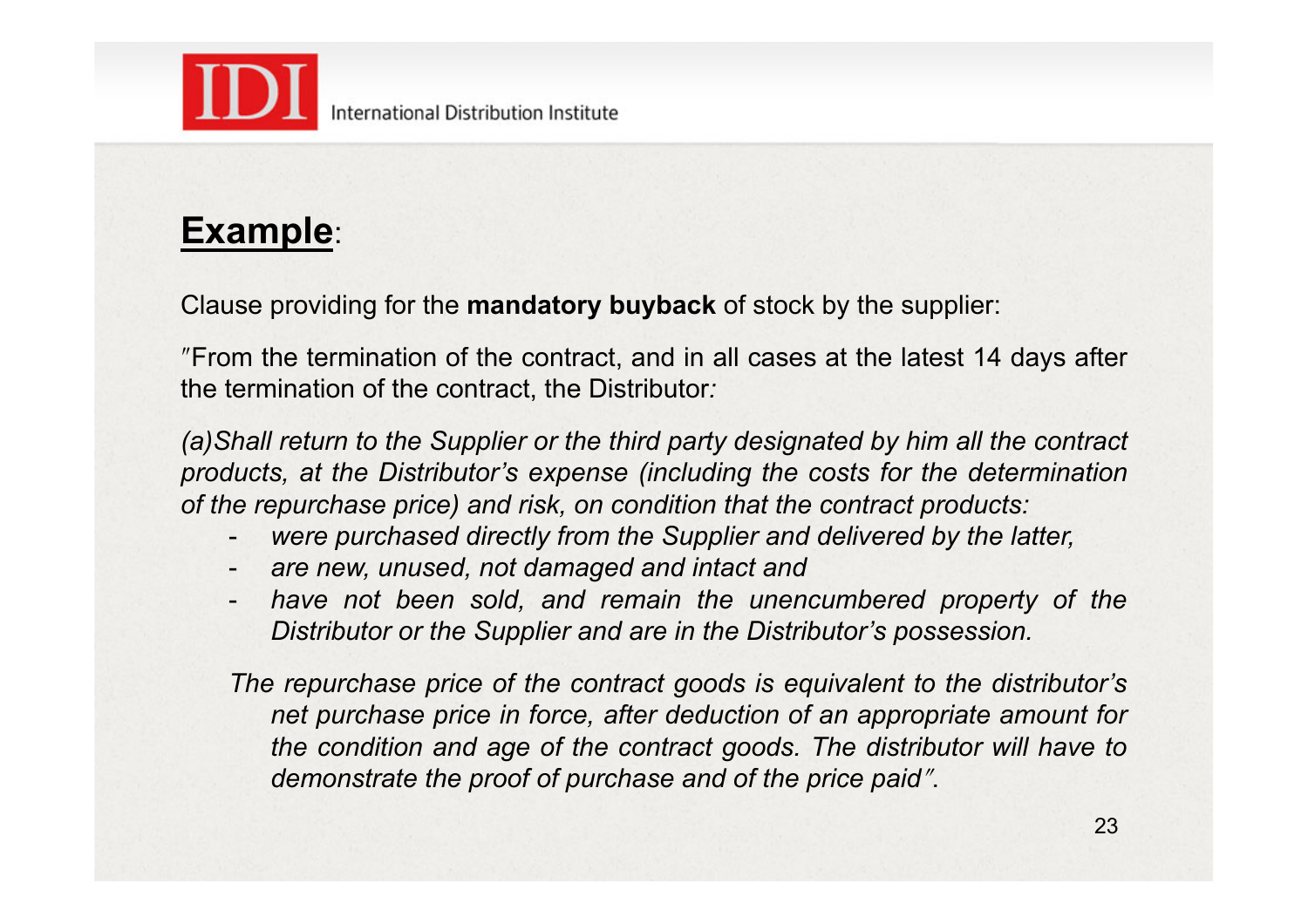

### **Example**:

Clause providing for the **mandatory buyback** of stock by the supplier:

ʺFrom the termination of the contract, and in all cases at the latest 14 days after the termination of the contract, the Distributor*:* 

*(a)Shall return to the Supplier or the third party designated by him all the contract products, at the Distributor's expense (including the costs for the determination of the repurchase price) and risk, on condition that the contract products:*

- were purchased directly from the Supplier and delivered by the latter,
- *are new, unused, not damaged and intact and*
- *have not been sold, and remain the unencumbered property of the Distributor or the Supplier and are in the Distributor's possession.*

*The repurchase price of the contract goods is equivalent to the distributor's net purchase price in force, after deduction of an appropriate amount for the condition and age of the contract goods. The distributor will have to demonstrate the proof of purchase and of the price paid".*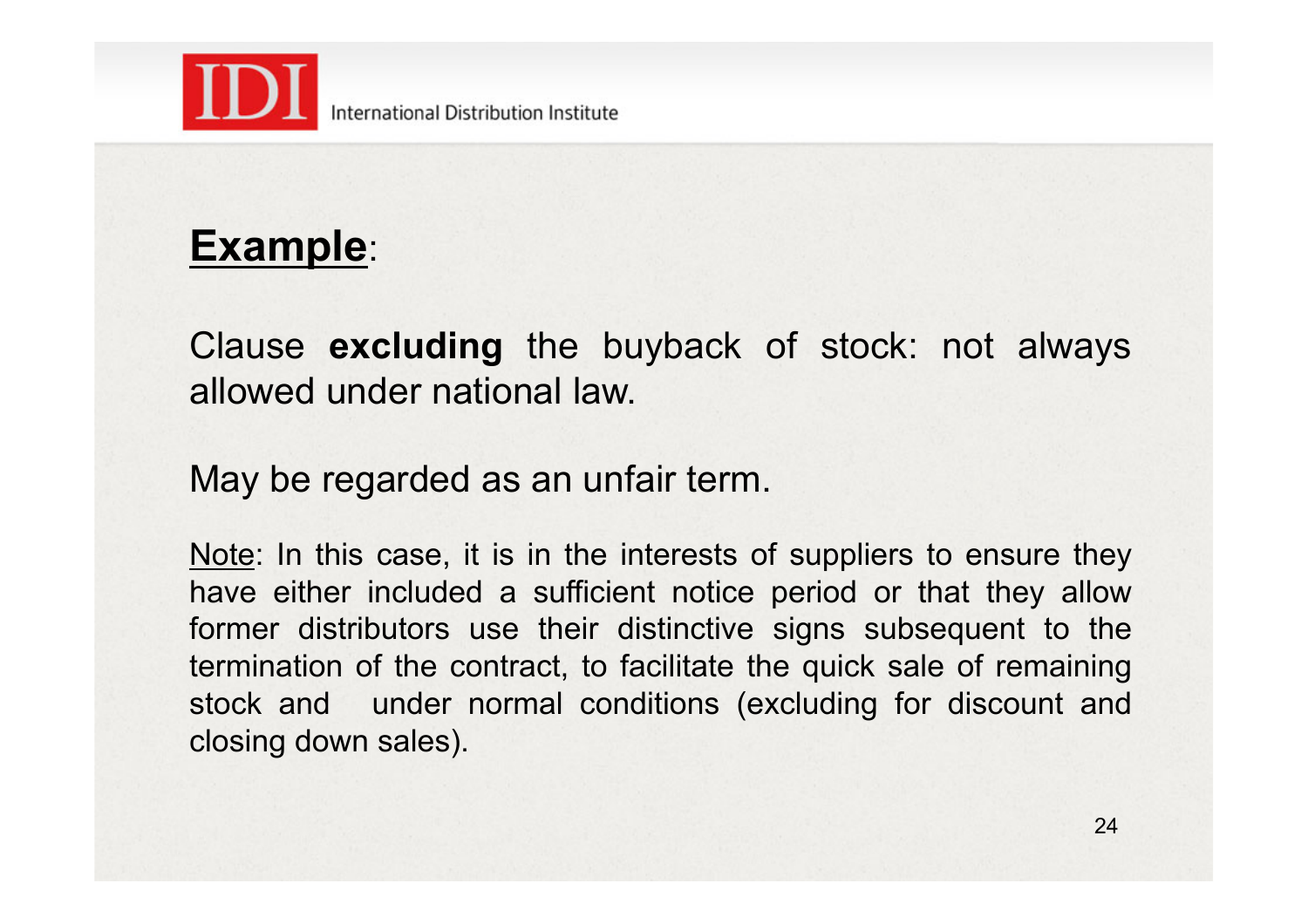

#### International Distribution Institute

## **Example**:

Clause **excluding** the buyback of stock: not always allowed under national law.

May be regarded as an unfair term.

Note: In this case, it is in the interests of suppliers to ensure they have either included a sufficient notice period or that they allow former distributors use their distinctive signs subsequent to the termination of the contract, to facilitate the quick sale of remaining stock and under normal conditions (excluding for discount and closing down sales).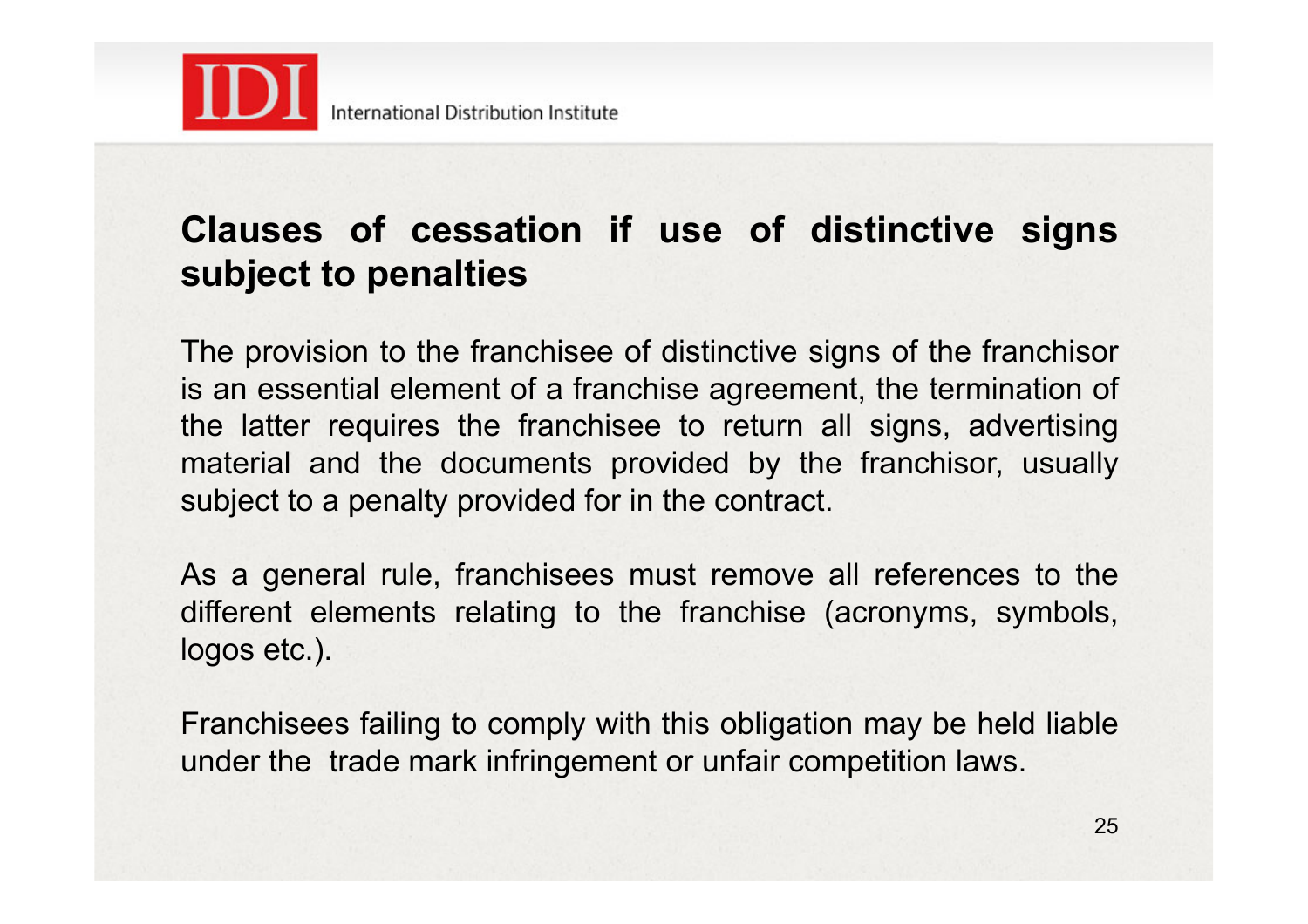

### **Clauses of cessation if use of distinctive signs subject to penalties**

The provision to the franchisee of distinctive signs of the franchisor is an essential element of a franchise agreement, the termination of the latter requires the franchisee to return all signs, advertising material and the documents provided by the franchisor, usually subject to a penalty provided for in the contract.

As a general rule, franchisees must remove all references to the different elements relating to the franchise (acronyms, symbols, logos etc.).

Franchisees failing to comply with this obligation may be held liable under the trade mark infringement or unfair competition laws.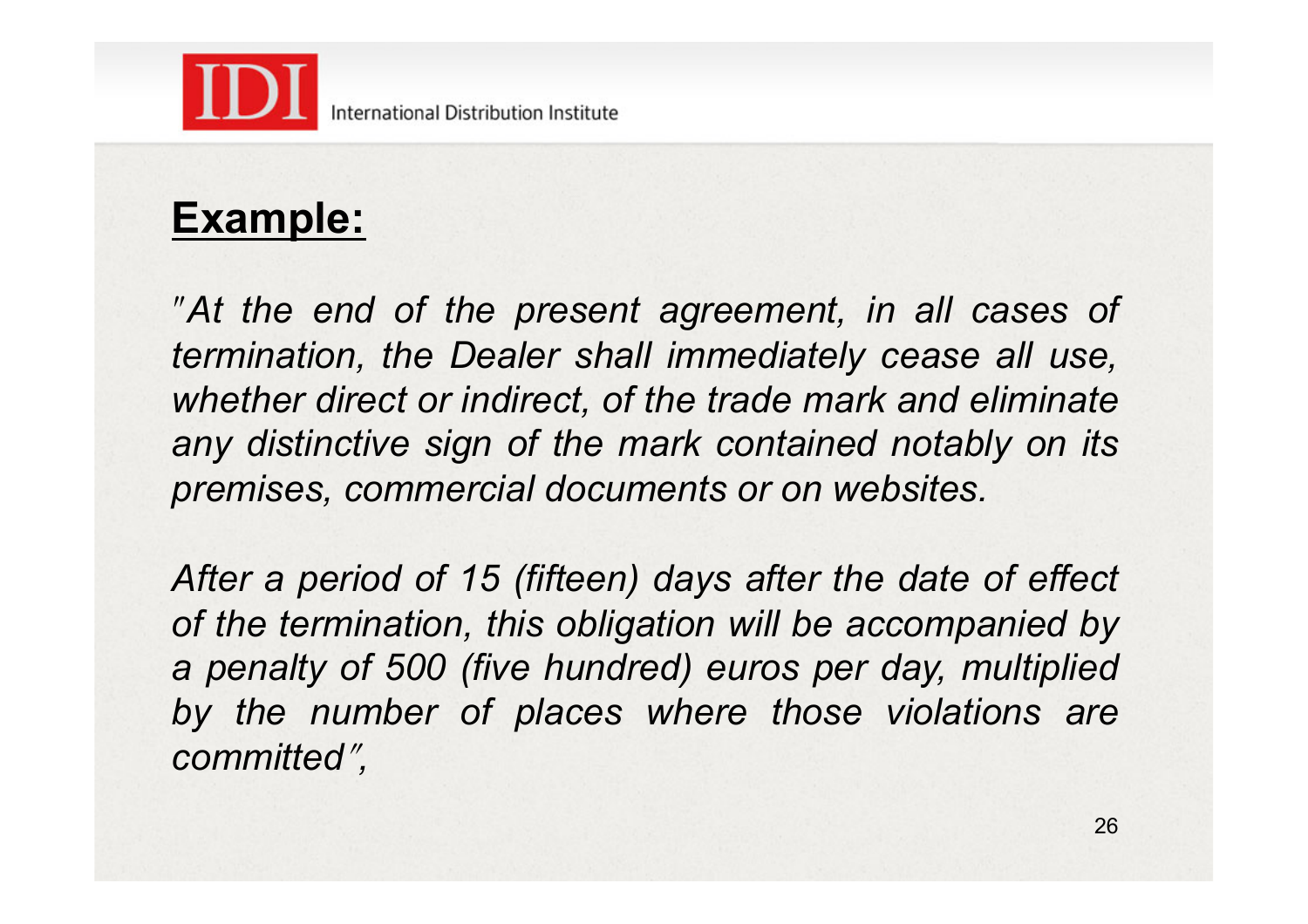

## **Example:**

ʺ*At the end of the present agreement, in all cases of termination, the Dealer shall immediately cease all use, whether direct or indirect, of the trade mark and eliminate any distinctive sign of the mark contained notably on its premises, commercial documents or on websites.*

*After a period of 15 (fifteen) days after the date of effect of the termination, this obligation will be accompanied by a penalty of 500 (five hundred) euros per day, multiplied by the number of places where those violations are committed*<sup>ʺ</sup> *,*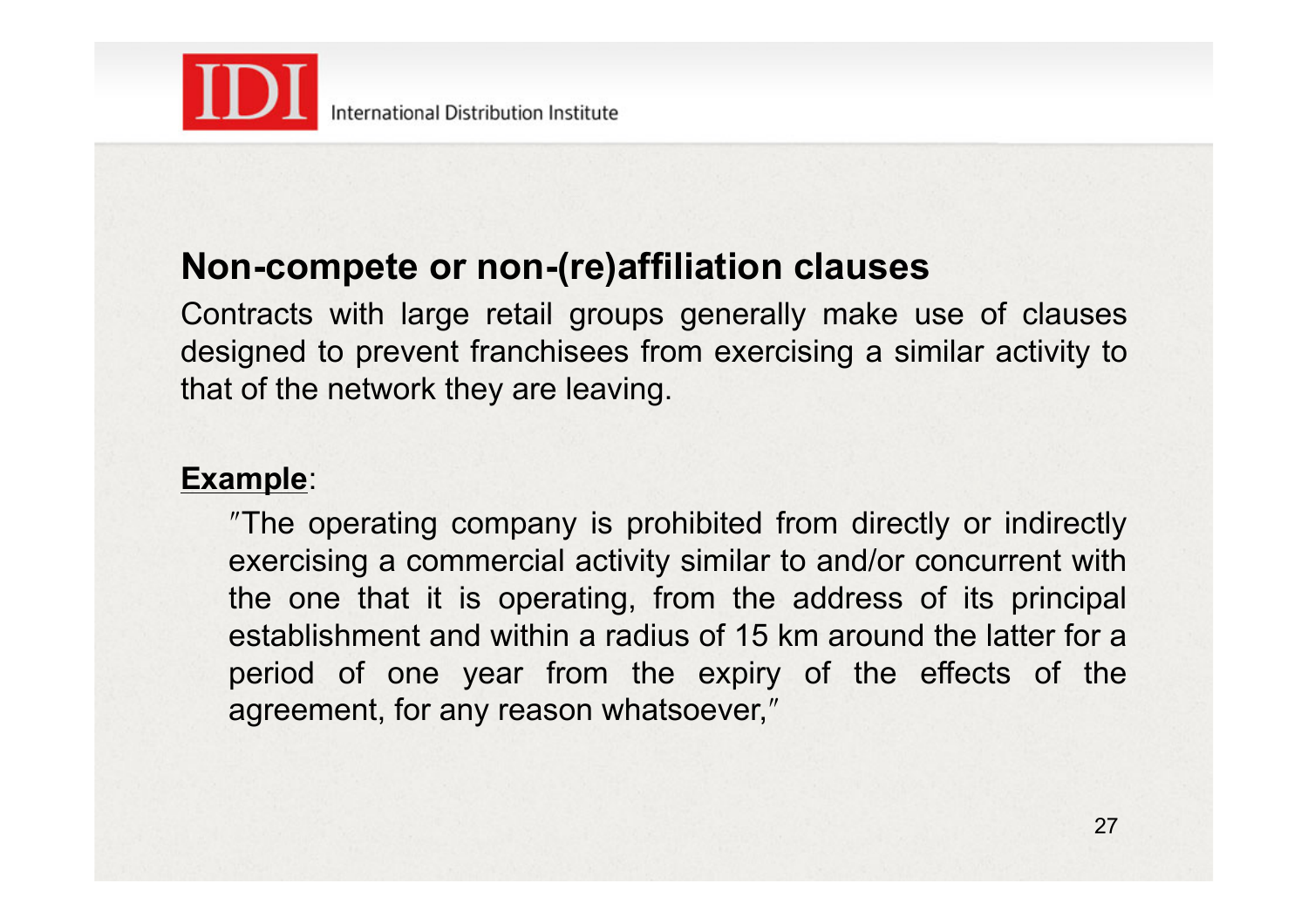

#### **Non-compete or non-(re)affiliation clauses**

Contracts with large retail groups generally make use of clauses designed to prevent franchisees from exercising a similar activity to that of the network they are leaving.

#### **Example**:

ʺThe operating company is prohibited from directly or indirectly exercising a commercial activity similar to and/or concurrent with the one that it is operating, from the address of its principal establishment and within a radius of 15 km around the latter for a period of one year from the expiry of the effects of the agreement, for any reason whatsoever,"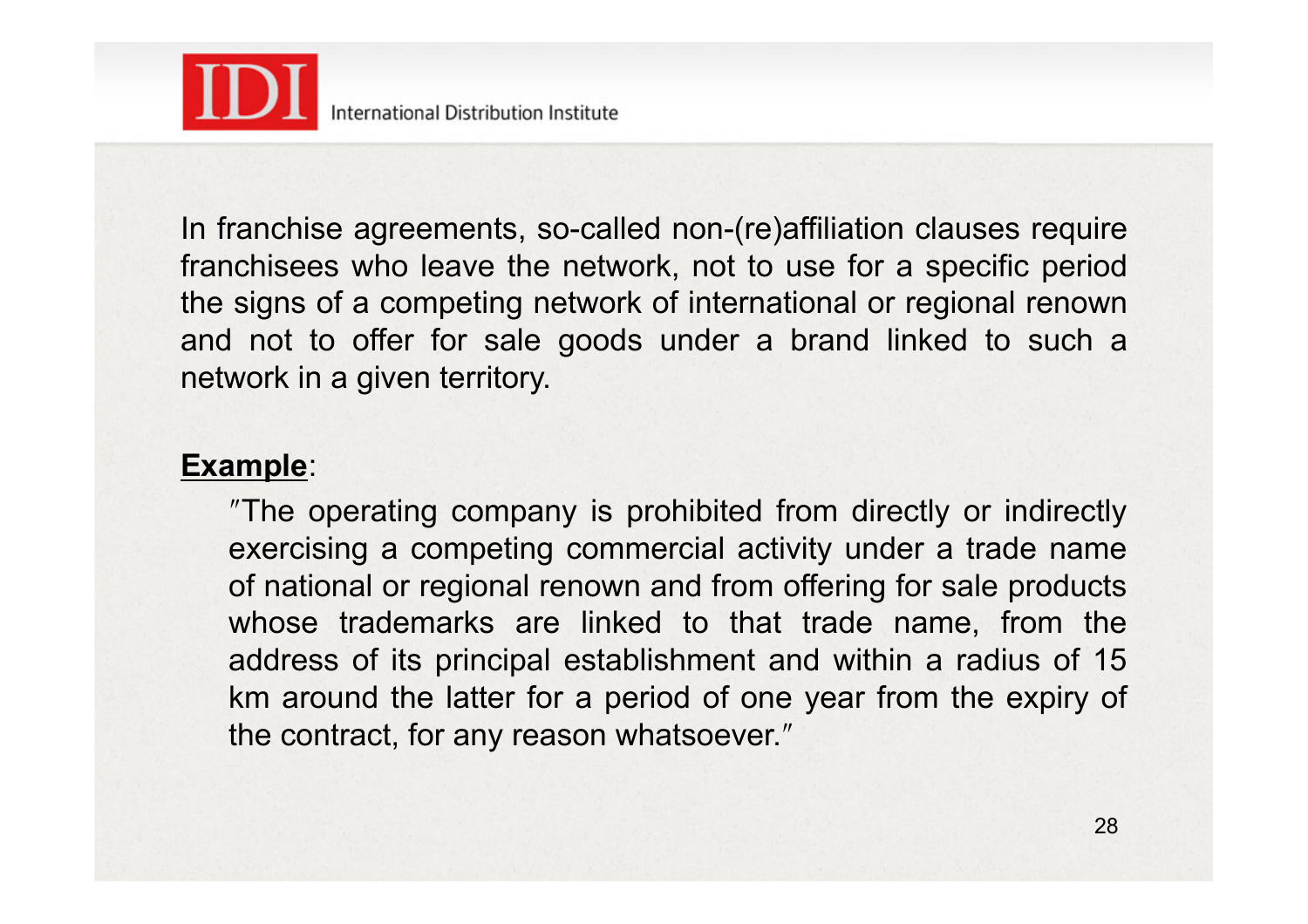

In franchise agreements, so-called non-(re)affiliation clauses require franchisees who leave the network, not to use for a specific period the signs of a competing network of international or regional renown and not to offer for sale goods under a brand linked to such a network in a given territory.

#### **Example**:

ʺThe operating company is prohibited from directly or indirectly exercising a competing commercial activity under a trade name of national or regional renown and from offering for sale products whose trademarks are linked to that trade name, from the address of its principal establishment and within a radius of 15 km around the latter for a period of one year from the expiry of the contract, for any reason whatsoever."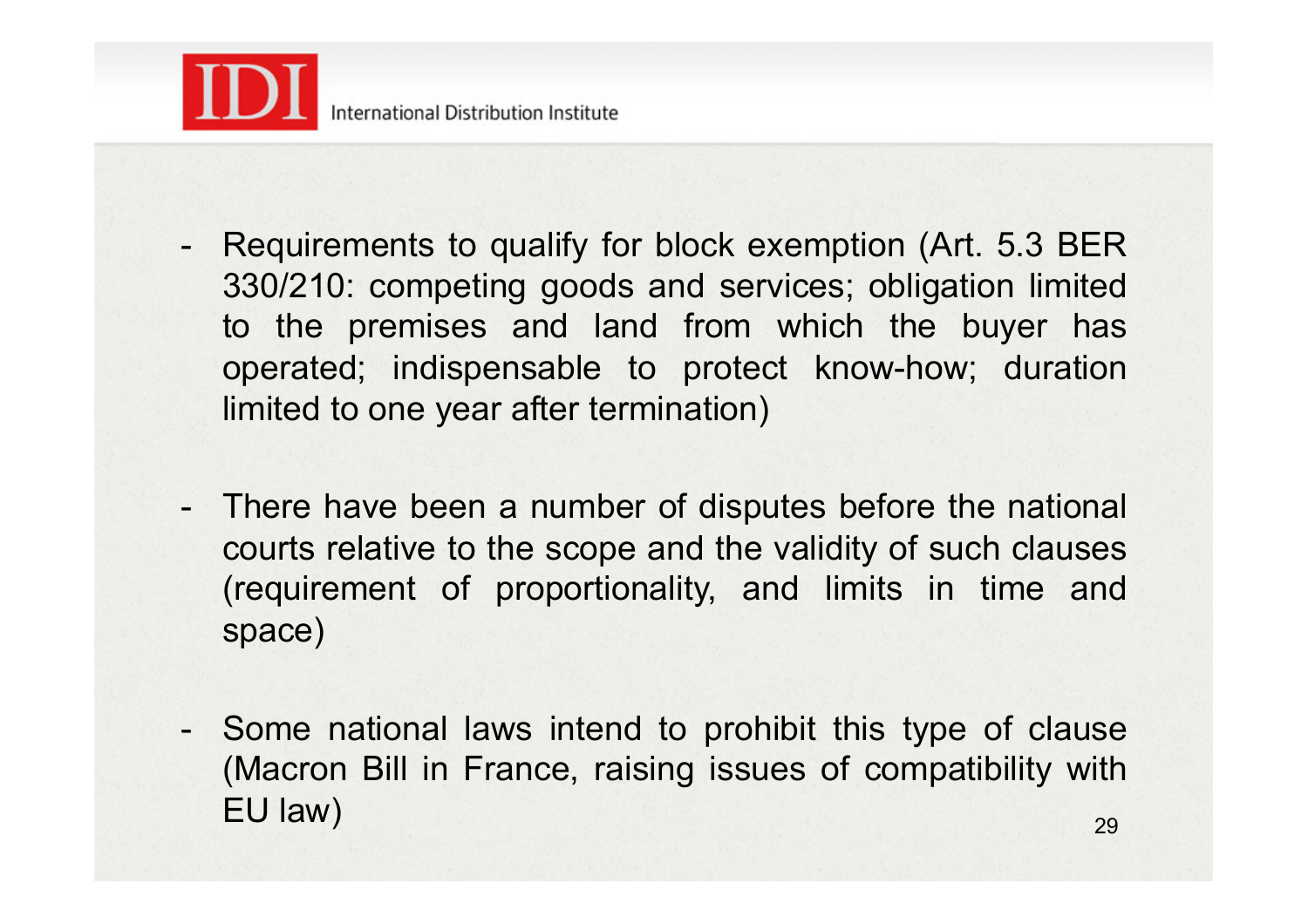

- Requirements to qualify for block exemption (Art. 5.3 BER 330/210: competing goods and services; obligation limited to the premises and land from which the buyer has operated; indispensable to protect know-how; duration limited to one year after termination)
- There have been a number of disputes before the national courts relative to the scope and the validity of such clauses (requirement of proportionality, and limits in time and space)
- Some national laws intend to prohibit this type of clause (Macron Bill in France, raising issues of compatibility with EU law)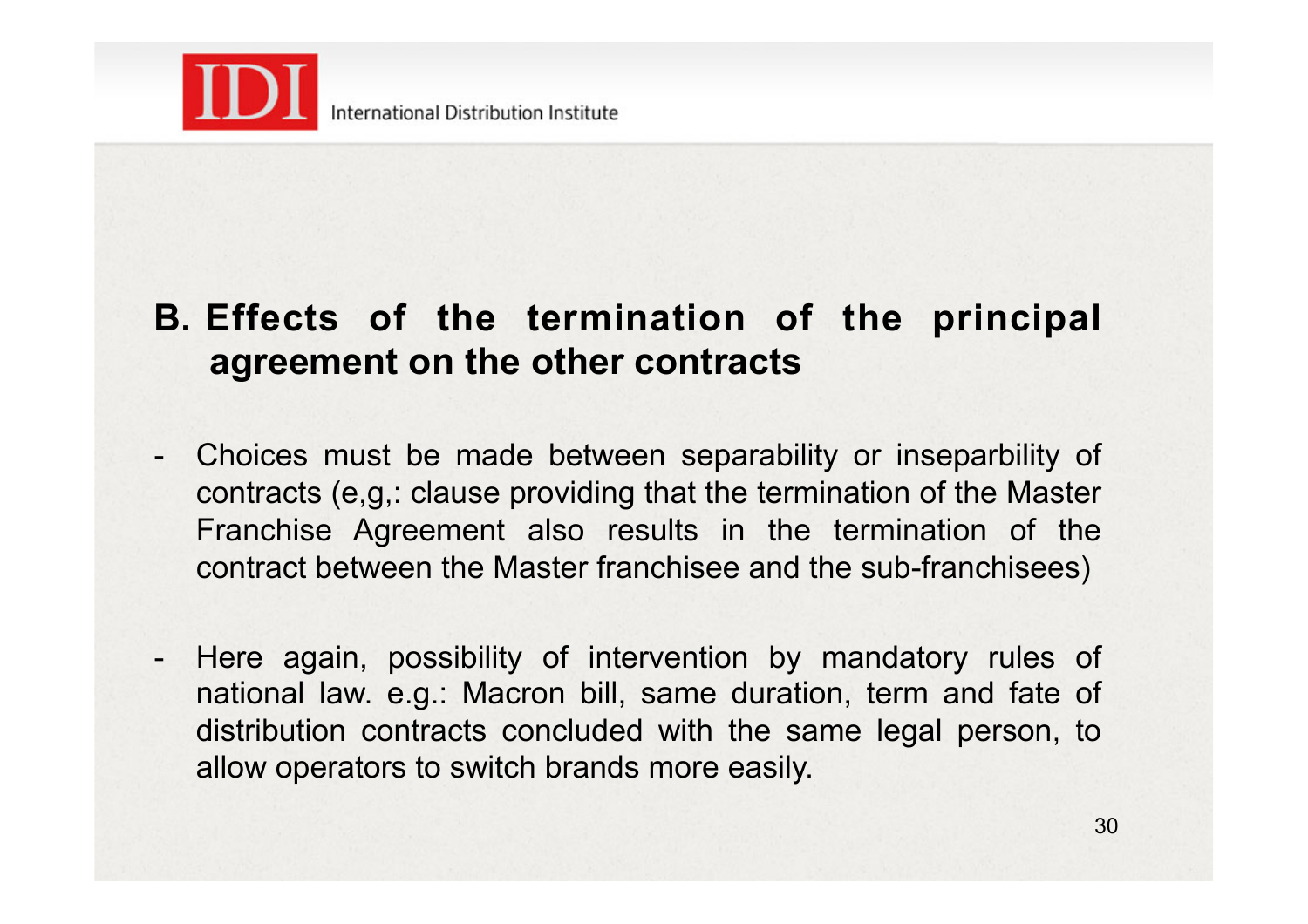

#### **B. Effects of the termination of the principal agreement on the other contracts**

- Choices must be made between separability or inseparbility of contracts (e,g,: clause providing that the termination of the Master Franchise Agreement also results in the termination of the contract between the Master franchisee and the sub-franchisees)
- Here again, possibility of intervention by mandatory rules of national law. e.g.: Macron bill, same duration, term and fate of distribution contracts concluded with the same legal person, to allow operators to switch brands more easily.